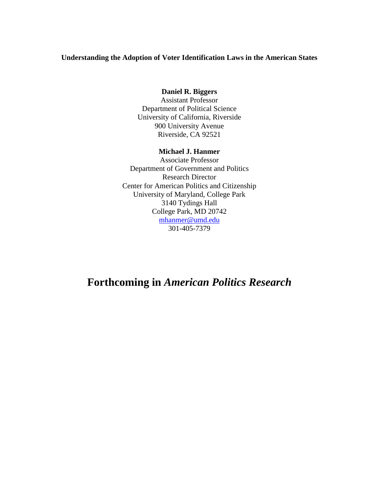### **Understanding the Adoption of Voter Identification Laws in the American States**

## **Daniel R. Biggers**

Assistant Professor Department of Political Science University of California, Riverside 900 University Avenue Riverside, CA 92521

## **Michael J. Hanmer**

Associate Professor Department of Government and Politics Research Director Center for American Politics and Citizenship University of Maryland, College Park 3140 Tydings Hall College Park, MD 20742 [mhanmer@umd.edu](mailto:mhanmer@umd.edu) 301-405-7379

# **Forthcoming in** *American Politics Research*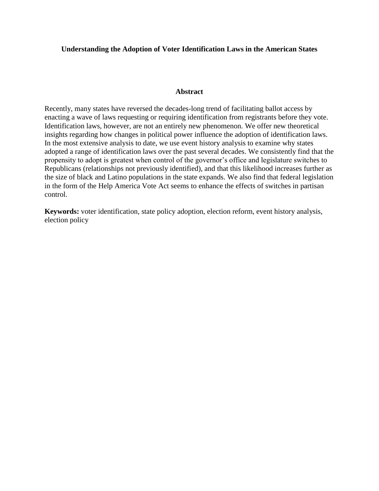## **Understanding the Adoption of Voter Identification Laws in the American States**

#### **Abstract**

Recently, many states have reversed the decades-long trend of facilitating ballot access by enacting a wave of laws requesting or requiring identification from registrants before they vote. Identification laws, however, are not an entirely new phenomenon. We offer new theoretical insights regarding how changes in political power influence the adoption of identification laws. In the most extensive analysis to date, we use event history analysis to examine why states adopted a range of identification laws over the past several decades. We consistently find that the propensity to adopt is greatest when control of the governor's office and legislature switches to Republicans (relationships not previously identified), and that this likelihood increases further as the size of black and Latino populations in the state expands. We also find that federal legislation in the form of the Help America Vote Act seems to enhance the effects of switches in partisan control.

**Keywords:** voter identification, state policy adoption, election reform, event history analysis, election policy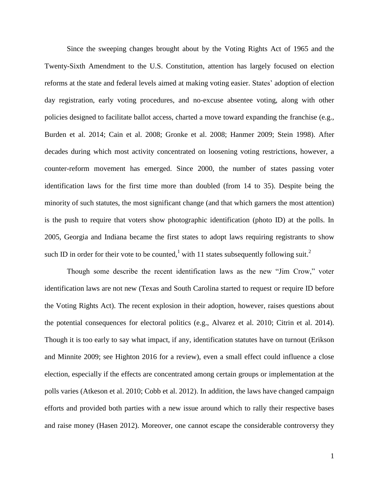Since the sweeping changes brought about by the Voting Rights Act of 1965 and the Twenty-Sixth Amendment to the U.S. Constitution, attention has largely focused on election reforms at the state and federal levels aimed at making voting easier. States' adoption of election day registration, early voting procedures, and no-excuse absentee voting, along with other policies designed to facilitate ballot access, charted a move toward expanding the franchise (e.g., Burden et al. 2014; Cain et al. 2008; Gronke et al. 2008; Hanmer 2009; Stein 1998). After decades during which most activity concentrated on loosening voting restrictions, however, a counter-reform movement has emerged. Since 2000, the number of states passing voter identification laws for the first time more than doubled (from 14 to 35). Despite being the minority of such statutes, the most significant change (and that which garners the most attention) is the push to require that voters show photographic identification (photo ID) at the polls. In 2005, Georgia and Indiana became the first states to adopt laws requiring registrants to show such ID in order for their vote to be counted,<sup>1</sup> with 11 states subsequently following suit.<sup>2</sup>

Though some describe the recent identification laws as the new "Jim Crow," voter identification laws are not new (Texas and South Carolina started to request or require ID before the Voting Rights Act). The recent explosion in their adoption, however, raises questions about the potential consequences for electoral politics (e.g., Alvarez et al. 2010; Citrin et al. 2014). Though it is too early to say what impact, if any, identification statutes have on turnout (Erikson and Minnite 2009; see Highton 2016 for a review), even a small effect could influence a close election, especially if the effects are concentrated among certain groups or implementation at the polls varies (Atkeson et al. 2010; Cobb et al. 2012). In addition, the laws have changed campaign efforts and provided both parties with a new issue around which to rally their respective bases and raise money (Hasen 2012). Moreover, one cannot escape the considerable controversy they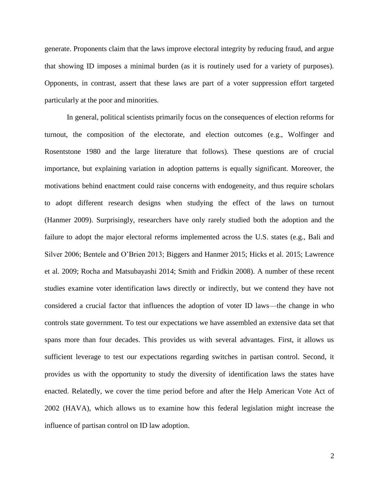generate. Proponents claim that the laws improve electoral integrity by reducing fraud, and argue that showing ID imposes a minimal burden (as it is routinely used for a variety of purposes). Opponents, in contrast, assert that these laws are part of a voter suppression effort targeted particularly at the poor and minorities.

In general, political scientists primarily focus on the consequences of election reforms for turnout, the composition of the electorate, and election outcomes (e.g., Wolfinger and Rosentstone 1980 and the large literature that follows). These questions are of crucial importance, but explaining variation in adoption patterns is equally significant. Moreover, the motivations behind enactment could raise concerns with endogeneity, and thus require scholars to adopt different research designs when studying the effect of the laws on turnout (Hanmer 2009). Surprisingly, researchers have only rarely studied both the adoption and the failure to adopt the major electoral reforms implemented across the U.S. states (e.g., Bali and Silver 2006; Bentele and O'Brien 2013; Biggers and Hanmer 2015; Hicks et al. 2015; Lawrence et al. 2009; Rocha and Matsubayashi 2014; Smith and Fridkin 2008). A number of these recent studies examine voter identification laws directly or indirectly, but we contend they have not considered a crucial factor that influences the adoption of voter ID laws—the change in who controls state government. To test our expectations we have assembled an extensive data set that spans more than four decades. This provides us with several advantages. First, it allows us sufficient leverage to test our expectations regarding switches in partisan control. Second, it provides us with the opportunity to study the diversity of identification laws the states have enacted. Relatedly, we cover the time period before and after the Help American Vote Act of 2002 (HAVA), which allows us to examine how this federal legislation might increase the influence of partisan control on ID law adoption.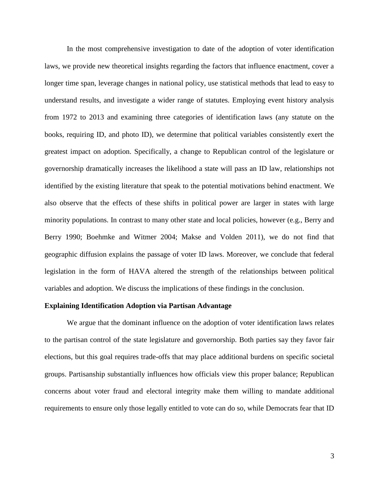In the most comprehensive investigation to date of the adoption of voter identification laws, we provide new theoretical insights regarding the factors that influence enactment, cover a longer time span, leverage changes in national policy, use statistical methods that lead to easy to understand results, and investigate a wider range of statutes. Employing event history analysis from 1972 to 2013 and examining three categories of identification laws (any statute on the books, requiring ID, and photo ID), we determine that political variables consistently exert the greatest impact on adoption. Specifically, a change to Republican control of the legislature or governorship dramatically increases the likelihood a state will pass an ID law, relationships not identified by the existing literature that speak to the potential motivations behind enactment. We also observe that the effects of these shifts in political power are larger in states with large minority populations. In contrast to many other state and local policies, however (e.g., Berry and Berry 1990; Boehmke and Witmer 2004; Makse and Volden 2011), we do not find that geographic diffusion explains the passage of voter ID laws. Moreover, we conclude that federal legislation in the form of HAVA altered the strength of the relationships between political variables and adoption. We discuss the implications of these findings in the conclusion.

#### **Explaining Identification Adoption via Partisan Advantage**

We argue that the dominant influence on the adoption of voter identification laws relates to the partisan control of the state legislature and governorship. Both parties say they favor fair elections, but this goal requires trade-offs that may place additional burdens on specific societal groups. Partisanship substantially influences how officials view this proper balance; Republican concerns about voter fraud and electoral integrity make them willing to mandate additional requirements to ensure only those legally entitled to vote can do so, while Democrats fear that ID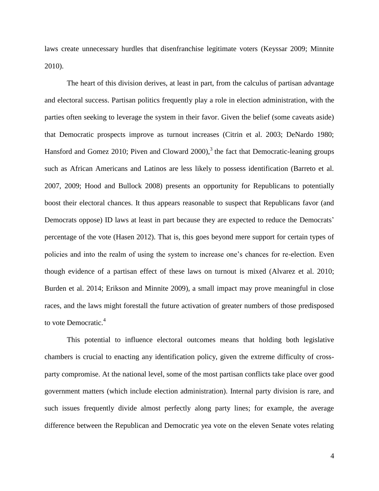laws create unnecessary hurdles that disenfranchise legitimate voters (Keyssar 2009; Minnite 2010).

The heart of this division derives, at least in part, from the calculus of partisan advantage and electoral success. Partisan politics frequently play a role in election administration, with the parties often seeking to leverage the system in their favor. Given the belief (some caveats aside) that Democratic prospects improve as turnout increases (Citrin et al. 2003; DeNardo 1980; Hansford and Gomez 2010; Piven and Cloward  $2000$ ,<sup>3</sup> the fact that Democratic-leaning groups such as African Americans and Latinos are less likely to possess identification (Barreto et al. 2007, 2009; Hood and Bullock 2008) presents an opportunity for Republicans to potentially boost their electoral chances. It thus appears reasonable to suspect that Republicans favor (and Democrats oppose) ID laws at least in part because they are expected to reduce the Democrats' percentage of the vote (Hasen 2012). That is, this goes beyond mere support for certain types of policies and into the realm of using the system to increase one's chances for re-election. Even though evidence of a partisan effect of these laws on turnout is mixed (Alvarez et al. 2010; Burden et al. 2014; Erikson and Minnite 2009), a small impact may prove meaningful in close races, and the laws might forestall the future activation of greater numbers of those predisposed to vote Democratic.<sup>4</sup>

This potential to influence electoral outcomes means that holding both legislative chambers is crucial to enacting any identification policy, given the extreme difficulty of crossparty compromise. At the national level, some of the most partisan conflicts take place over good government matters (which include election administration). Internal party division is rare, and such issues frequently divide almost perfectly along party lines; for example, the average difference between the Republican and Democratic yea vote on the eleven Senate votes relating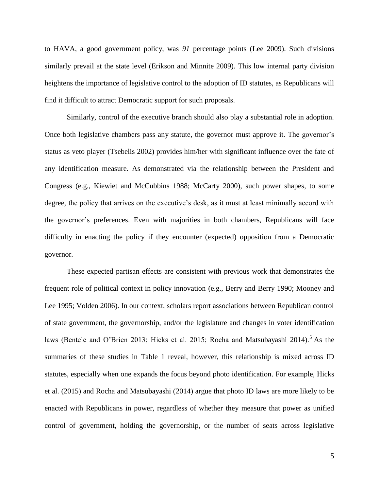to HAVA, a good government policy, was *91* percentage points (Lee 2009). Such divisions similarly prevail at the state level (Erikson and Minnite 2009). This low internal party division heightens the importance of legislative control to the adoption of ID statutes, as Republicans will find it difficult to attract Democratic support for such proposals.

Similarly, control of the executive branch should also play a substantial role in adoption. Once both legislative chambers pass any statute, the governor must approve it. The governor's status as veto player (Tsebelis 2002) provides him/her with significant influence over the fate of any identification measure. As demonstrated via the relationship between the President and Congress (e.g., Kiewiet and McCubbins 1988; McCarty 2000), such power shapes, to some degree, the policy that arrives on the executive's desk, as it must at least minimally accord with the governor's preferences. Even with majorities in both chambers, Republicans will face difficulty in enacting the policy if they encounter (expected) opposition from a Democratic governor.

These expected partisan effects are consistent with previous work that demonstrates the frequent role of political context in policy innovation (e.g., Berry and Berry 1990; Mooney and Lee 1995; Volden 2006). In our context, scholars report associations between Republican control of state government, the governorship, and/or the legislature and changes in voter identification laws (Bentele and O'Brien 2013; Hicks et al. 2015; Rocha and Matsubayashi 2014).<sup>5</sup> As the summaries of these studies in Table 1 reveal, however, this relationship is mixed across ID statutes, especially when one expands the focus beyond photo identification. For example, Hicks et al. (2015) and Rocha and Matsubayashi (2014) argue that photo ID laws are more likely to be enacted with Republicans in power, regardless of whether they measure that power as unified control of government, holding the governorship, or the number of seats across legislative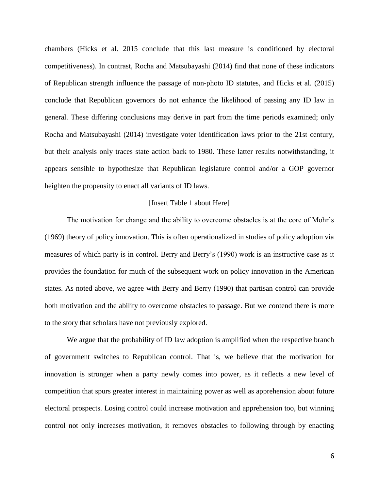chambers (Hicks et al. 2015 conclude that this last measure is conditioned by electoral competitiveness). In contrast, Rocha and Matsubayashi (2014) find that none of these indicators of Republican strength influence the passage of non-photo ID statutes, and Hicks et al. (2015) conclude that Republican governors do not enhance the likelihood of passing any ID law in general. These differing conclusions may derive in part from the time periods examined; only Rocha and Matsubayashi (2014) investigate voter identification laws prior to the 21st century, but their analysis only traces state action back to 1980. These latter results notwithstanding, it appears sensible to hypothesize that Republican legislature control and/or a GOP governor heighten the propensity to enact all variants of ID laws.

#### [Insert Table 1 about Here]

The motivation for change and the ability to overcome obstacles is at the core of Mohr's (1969) theory of policy innovation. This is often operationalized in studies of policy adoption via measures of which party is in control. Berry and Berry's (1990) work is an instructive case as it provides the foundation for much of the subsequent work on policy innovation in the American states. As noted above, we agree with Berry and Berry (1990) that partisan control can provide both motivation and the ability to overcome obstacles to passage. But we contend there is more to the story that scholars have not previously explored.

We argue that the probability of ID law adoption is amplified when the respective branch of government switches to Republican control. That is, we believe that the motivation for innovation is stronger when a party newly comes into power, as it reflects a new level of competition that spurs greater interest in maintaining power as well as apprehension about future electoral prospects. Losing control could increase motivation and apprehension too, but winning control not only increases motivation, it removes obstacles to following through by enacting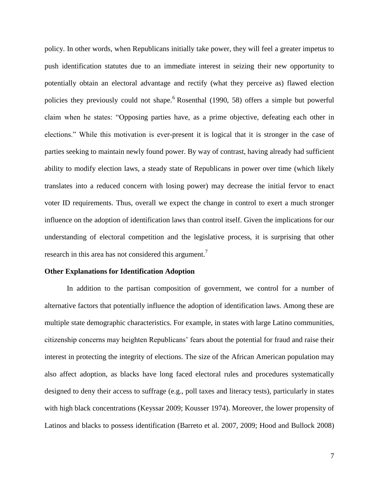policy. In other words, when Republicans initially take power, they will feel a greater impetus to push identification statutes due to an immediate interest in seizing their new opportunity to potentially obtain an electoral advantage and rectify (what they perceive as) flawed election policies they previously could not shape.<sup>6</sup> Rosenthal (1990, 58) offers a simple but powerful claim when he states: "Opposing parties have, as a prime objective, defeating each other in elections." While this motivation is ever-present it is logical that it is stronger in the case of parties seeking to maintain newly found power. By way of contrast, having already had sufficient ability to modify election laws, a steady state of Republicans in power over time (which likely translates into a reduced concern with losing power) may decrease the initial fervor to enact voter ID requirements. Thus, overall we expect the change in control to exert a much stronger influence on the adoption of identification laws than control itself. Given the implications for our understanding of electoral competition and the legislative process, it is surprising that other research in this area has not considered this argument.<sup>7</sup>

#### **Other Explanations for Identification Adoption**

In addition to the partisan composition of government, we control for a number of alternative factors that potentially influence the adoption of identification laws. Among these are multiple state demographic characteristics. For example, in states with large Latino communities, citizenship concerns may heighten Republicans' fears about the potential for fraud and raise their interest in protecting the integrity of elections. The size of the African American population may also affect adoption, as blacks have long faced electoral rules and procedures systematically designed to deny their access to suffrage (e.g., poll taxes and literacy tests), particularly in states with high black concentrations (Keyssar 2009; Kousser 1974). Moreover, the lower propensity of Latinos and blacks to possess identification (Barreto et al. 2007, 2009; Hood and Bullock 2008)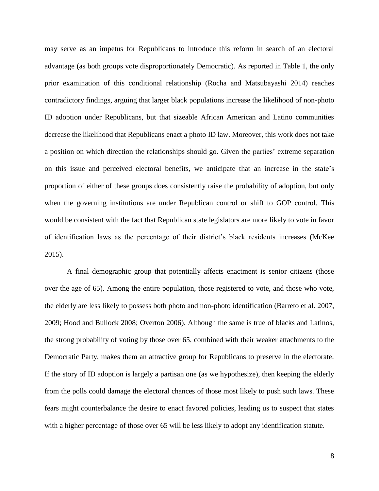may serve as an impetus for Republicans to introduce this reform in search of an electoral advantage (as both groups vote disproportionately Democratic). As reported in Table 1, the only prior examination of this conditional relationship (Rocha and Matsubayashi 2014) reaches contradictory findings, arguing that larger black populations increase the likelihood of non-photo ID adoption under Republicans, but that sizeable African American and Latino communities decrease the likelihood that Republicans enact a photo ID law. Moreover, this work does not take a position on which direction the relationships should go. Given the parties' extreme separation on this issue and perceived electoral benefits, we anticipate that an increase in the state's proportion of either of these groups does consistently raise the probability of adoption, but only when the governing institutions are under Republican control or shift to GOP control. This would be consistent with the fact that Republican state legislators are more likely to vote in favor of identification laws as the percentage of their district's black residents increases (McKee 2015).

A final demographic group that potentially affects enactment is senior citizens (those over the age of 65). Among the entire population, those registered to vote, and those who vote, the elderly are less likely to possess both photo and non-photo identification (Barreto et al. 2007, 2009; Hood and Bullock 2008; Overton 2006). Although the same is true of blacks and Latinos, the strong probability of voting by those over 65, combined with their weaker attachments to the Democratic Party, makes them an attractive group for Republicans to preserve in the electorate. If the story of ID adoption is largely a partisan one (as we hypothesize), then keeping the elderly from the polls could damage the electoral chances of those most likely to push such laws. These fears might counterbalance the desire to enact favored policies, leading us to suspect that states with a higher percentage of those over 65 will be less likely to adopt any identification statute.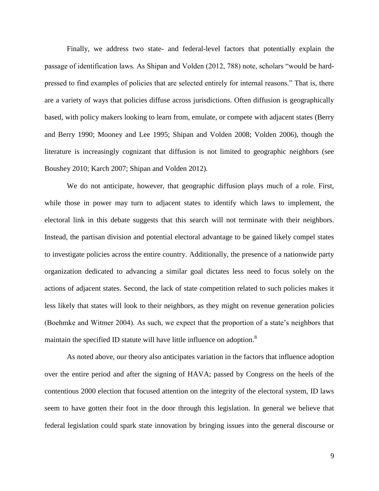Finally, we address two state- and federal-level factors that potentially explain the passage of identification laws. As Shipan and Volden (2012, 788) note, scholars "would be hardpressed to find examples of policies that are selected entirely for internal reasons." That is, there are a variety of ways that policies diffuse across jurisdictions. Often diffusion is geographically based, with policy makers looking to learn from, emulate, or compete with adjacent states (Berry and Berry 1990; Mooney and Lee 1995; Shipan and Volden 2008; Volden 2006), though the literature is increasingly cognizant that diffusion is not limited to geographic neighbors (see Boushey 2010; Karch 2007; Shipan and Volden 2012).

We do not anticipate, however, that geographic diffusion plays much of a role. First, while those in power may turn to adjacent states to identify which laws to implement, the electoral link in this debate suggests that this search will not terminate with their neighbors. Instead, the partisan division and potential electoral advantage to be gained likely compel states to investigate policies across the entire country. Additionally, the presence of a nationwide party organization dedicated to advancing a similar goal dictates less need to focus solely on the actions of adjacent states. Second, the lack of state competition related to such policies makes it less likely that states will look to their neighbors, as they might on revenue generation policies (Boehmke and Witmer 2004). As such, we expect that the proportion of a state's neighbors that maintain the specified ID statute will have little influence on adoption.<sup>8</sup>

As noted above, our theory also anticipates variation in the factors that influence adoption over the entire period and after the signing of HAVA; passed by Congress on the heels of the contentious 2000 election that focused attention on the integrity of the electoral system, ID laws seem to have gotten their foot in the door through this legislation. In general we believe that federal legislation could spark state innovation by bringing issues into the general discourse or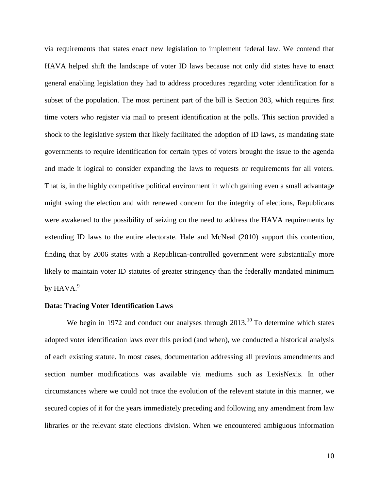via requirements that states enact new legislation to implement federal law. We contend that HAVA helped shift the landscape of voter ID laws because not only did states have to enact general enabling legislation they had to address procedures regarding voter identification for a subset of the population. The most pertinent part of the bill is Section 303, which requires first time voters who register via mail to present identification at the polls. This section provided a shock to the legislative system that likely facilitated the adoption of ID laws, as mandating state governments to require identification for certain types of voters brought the issue to the agenda and made it logical to consider expanding the laws to requests or requirements for all voters. That is, in the highly competitive political environment in which gaining even a small advantage might swing the election and with renewed concern for the integrity of elections, Republicans were awakened to the possibility of seizing on the need to address the HAVA requirements by extending ID laws to the entire electorate. Hale and McNeal (2010) support this contention, finding that by 2006 states with a Republican-controlled government were substantially more likely to maintain voter ID statutes of greater stringency than the federally mandated minimum by  $\mathrm{HAVA.}^9$ 

#### **Data: Tracing Voter Identification Laws**

We begin in 1972 and conduct our analyses through  $2013$ .<sup>10</sup> To determine which states adopted voter identification laws over this period (and when), we conducted a historical analysis of each existing statute. In most cases, documentation addressing all previous amendments and section number modifications was available via mediums such as LexisNexis. In other circumstances where we could not trace the evolution of the relevant statute in this manner, we secured copies of it for the years immediately preceding and following any amendment from law libraries or the relevant state elections division. When we encountered ambiguous information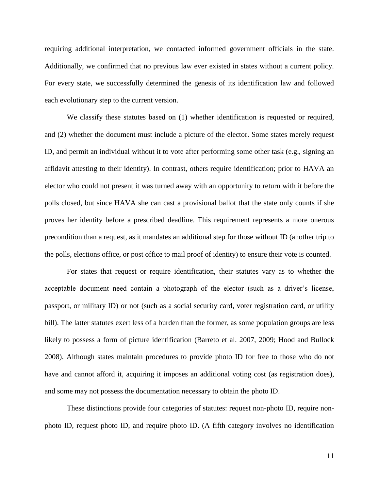requiring additional interpretation, we contacted informed government officials in the state. Additionally, we confirmed that no previous law ever existed in states without a current policy. For every state, we successfully determined the genesis of its identification law and followed each evolutionary step to the current version.

We classify these statutes based on  $(1)$  whether identification is requested or required, and (2) whether the document must include a picture of the elector. Some states merely request ID, and permit an individual without it to vote after performing some other task (e.g., signing an affidavit attesting to their identity). In contrast, others require identification; prior to HAVA an elector who could not present it was turned away with an opportunity to return with it before the polls closed, but since HAVA she can cast a provisional ballot that the state only counts if she proves her identity before a prescribed deadline. This requirement represents a more onerous precondition than a request, as it mandates an additional step for those without ID (another trip to the polls, elections office, or post office to mail proof of identity) to ensure their vote is counted.

For states that request or require identification, their statutes vary as to whether the acceptable document need contain a photograph of the elector (such as a driver's license, passport, or military ID) or not (such as a social security card, voter registration card, or utility bill). The latter statutes exert less of a burden than the former, as some population groups are less likely to possess a form of picture identification (Barreto et al. 2007, 2009; Hood and Bullock 2008). Although states maintain procedures to provide photo ID for free to those who do not have and cannot afford it, acquiring it imposes an additional voting cost (as registration does), and some may not possess the documentation necessary to obtain the photo ID.

These distinctions provide four categories of statutes: request non-photo ID, require nonphoto ID, request photo ID, and require photo ID. (A fifth category involves no identification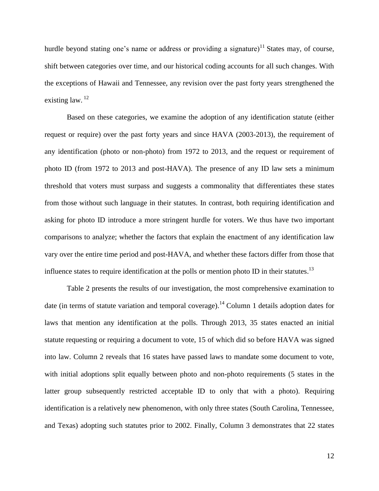hurdle beyond stating one's name or address or providing a signature)<sup>11</sup> States may, of course, shift between categories over time, and our historical coding accounts for all such changes. With the exceptions of Hawaii and Tennessee, any revision over the past forty years strengthened the existing law.  $12$ 

Based on these categories, we examine the adoption of any identification statute (either request or require) over the past forty years and since HAVA (2003-2013), the requirement of any identification (photo or non-photo) from 1972 to 2013, and the request or requirement of photo ID (from 1972 to 2013 and post-HAVA). The presence of any ID law sets a minimum threshold that voters must surpass and suggests a commonality that differentiates these states from those without such language in their statutes. In contrast, both requiring identification and asking for photo ID introduce a more stringent hurdle for voters. We thus have two important comparisons to analyze; whether the factors that explain the enactment of any identification law vary over the entire time period and post-HAVA, and whether these factors differ from those that influence states to require identification at the polls or mention photo ID in their statutes.<sup>13</sup>

Table 2 presents the results of our investigation, the most comprehensive examination to date (in terms of statute variation and temporal coverage).<sup>14</sup> Column 1 details adoption dates for laws that mention any identification at the polls. Through 2013, 35 states enacted an initial statute requesting or requiring a document to vote, 15 of which did so before HAVA was signed into law. Column 2 reveals that 16 states have passed laws to mandate some document to vote, with initial adoptions split equally between photo and non-photo requirements (5 states in the latter group subsequently restricted acceptable ID to only that with a photo). Requiring identification is a relatively new phenomenon, with only three states (South Carolina, Tennessee, and Texas) adopting such statutes prior to 2002. Finally, Column 3 demonstrates that 22 states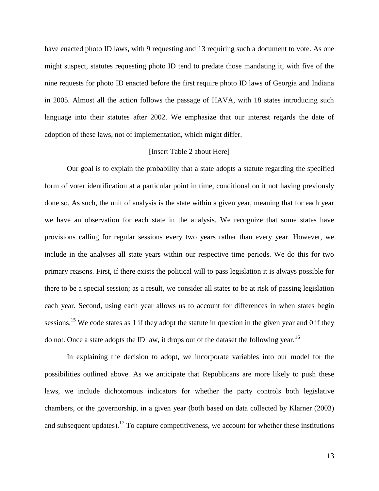have enacted photo ID laws, with 9 requesting and 13 requiring such a document to vote. As one might suspect, statutes requesting photo ID tend to predate those mandating it, with five of the nine requests for photo ID enacted before the first require photo ID laws of Georgia and Indiana in 2005. Almost all the action follows the passage of HAVA, with 18 states introducing such language into their statutes after 2002. We emphasize that our interest regards the date of adoption of these laws, not of implementation, which might differ.

#### [Insert Table 2 about Here]

Our goal is to explain the probability that a state adopts a statute regarding the specified form of voter identification at a particular point in time, conditional on it not having previously done so. As such, the unit of analysis is the state within a given year, meaning that for each year we have an observation for each state in the analysis. We recognize that some states have provisions calling for regular sessions every two years rather than every year. However, we include in the analyses all state years within our respective time periods. We do this for two primary reasons. First, if there exists the political will to pass legislation it is always possible for there to be a special session; as a result, we consider all states to be at risk of passing legislation each year. Second, using each year allows us to account for differences in when states begin sessions.<sup>15</sup> We code states as 1 if they adopt the statute in question in the given year and 0 if they do not. Once a state adopts the ID law, it drops out of the dataset the following year.<sup>16</sup>

In explaining the decision to adopt, we incorporate variables into our model for the possibilities outlined above. As we anticipate that Republicans are more likely to push these laws, we include dichotomous indicators for whether the party controls both legislative chambers, or the governorship, in a given year (both based on data collected by Klarner (2003) and subsequent updates).<sup>17</sup> To capture competitiveness, we account for whether these institutions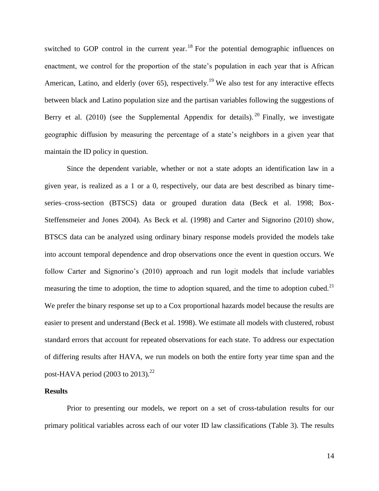switched to GOP control in the current year.<sup>18</sup> For the potential demographic influences on enactment, we control for the proportion of the state's population in each year that is African American, Latino, and elderly (over 65), respectively.<sup>19</sup> We also test for any interactive effects between black and Latino population size and the partisan variables following the suggestions of Berry et al. (2010) (see the Supplemental Appendix for details). <sup>20</sup> Finally, we investigate geographic diffusion by measuring the percentage of a state's neighbors in a given year that maintain the ID policy in question.

Since the dependent variable, whether or not a state adopts an identification law in a given year, is realized as a 1 or a 0, respectively, our data are best described as binary timeseries–cross-section (BTSCS) data or grouped duration data (Beck et al. 1998; Box-Steffensmeier and Jones 2004). As Beck et al. (1998) and Carter and Signorino (2010) show, BTSCS data can be analyzed using ordinary binary response models provided the models take into account temporal dependence and drop observations once the event in question occurs. We follow Carter and Signorino's (2010) approach and run logit models that include variables measuring the time to adoption, the time to adoption squared, and the time to adoption cubed.<sup>21</sup> We prefer the binary response set up to a Cox proportional hazards model because the results are easier to present and understand (Beck et al. 1998). We estimate all models with clustered, robust standard errors that account for repeated observations for each state. To address our expectation of differing results after HAVA, we run models on both the entire forty year time span and the post-HAVA period (2003 to 2013). $^{22}$ 

#### **Results**

Prior to presenting our models, we report on a set of cross-tabulation results for our primary political variables across each of our voter ID law classifications (Table 3). The results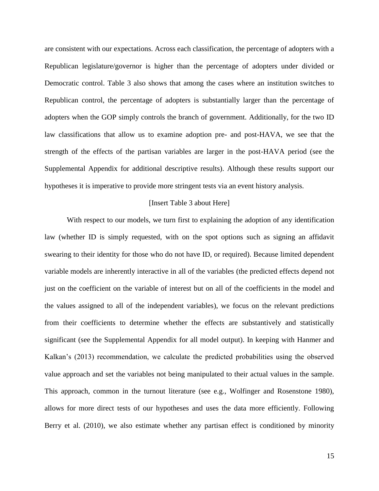are consistent with our expectations. Across each classification, the percentage of adopters with a Republican legislature/governor is higher than the percentage of adopters under divided or Democratic control. Table 3 also shows that among the cases where an institution switches to Republican control, the percentage of adopters is substantially larger than the percentage of adopters when the GOP simply controls the branch of government. Additionally, for the two ID law classifications that allow us to examine adoption pre- and post-HAVA, we see that the strength of the effects of the partisan variables are larger in the post-HAVA period (see the Supplemental Appendix for additional descriptive results). Although these results support our hypotheses it is imperative to provide more stringent tests via an event history analysis.

#### [Insert Table 3 about Here]

With respect to our models, we turn first to explaining the adoption of any identification law (whether ID is simply requested, with on the spot options such as signing an affidavit swearing to their identity for those who do not have ID, or required). Because limited dependent variable models are inherently interactive in all of the variables (the predicted effects depend not just on the coefficient on the variable of interest but on all of the coefficients in the model and the values assigned to all of the independent variables), we focus on the relevant predictions from their coefficients to determine whether the effects are substantively and statistically significant (see the Supplemental Appendix for all model output). In keeping with Hanmer and Kalkan's (2013) recommendation, we calculate the predicted probabilities using the observed value approach and set the variables not being manipulated to their actual values in the sample. This approach, common in the turnout literature (see e.g., Wolfinger and Rosenstone 1980), allows for more direct tests of our hypotheses and uses the data more efficiently. Following Berry et al. (2010), we also estimate whether any partisan effect is conditioned by minority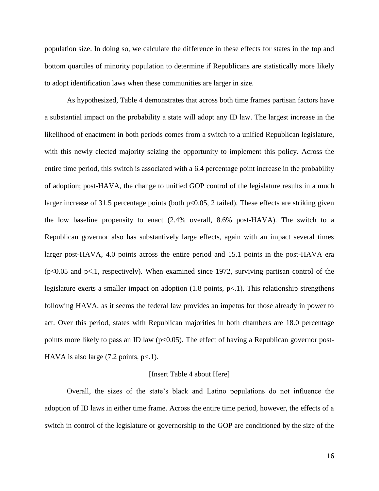population size. In doing so, we calculate the difference in these effects for states in the top and bottom quartiles of minority population to determine if Republicans are statistically more likely to adopt identification laws when these communities are larger in size.

As hypothesized, Table 4 demonstrates that across both time frames partisan factors have a substantial impact on the probability a state will adopt any ID law. The largest increase in the likelihood of enactment in both periods comes from a switch to a unified Republican legislature, with this newly elected majority seizing the opportunity to implement this policy. Across the entire time period, this switch is associated with a 6.4 percentage point increase in the probability of adoption; post-HAVA, the change to unified GOP control of the legislature results in a much larger increase of 31.5 percentage points (both p<0.05, 2 tailed). These effects are striking given the low baseline propensity to enact (2.4% overall, 8.6% post-HAVA). The switch to a Republican governor also has substantively large effects, again with an impact several times larger post-HAVA, 4.0 points across the entire period and 15.1 points in the post-HAVA era  $(p<0.05$  and  $p<1$ , respectively). When examined since 1972, surviving partisan control of the legislature exerts a smaller impact on adoption  $(1.8 \text{ points}, p<1)$ . This relationship strengthens following HAVA, as it seems the federal law provides an impetus for those already in power to act. Over this period, states with Republican majorities in both chambers are 18.0 percentage points more likely to pass an ID law ( $p<0.05$ ). The effect of having a Republican governor post-HAVA is also large  $(7.2 \text{ points}, \text{p} < 1)$ .

#### [Insert Table 4 about Here]

Overall, the sizes of the state's black and Latino populations do not influence the adoption of ID laws in either time frame. Across the entire time period, however, the effects of a switch in control of the legislature or governorship to the GOP are conditioned by the size of the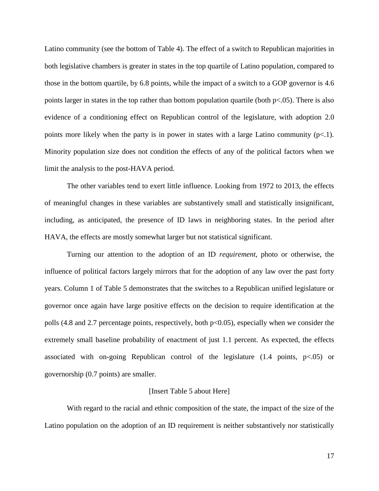Latino community (see the bottom of Table 4). The effect of a switch to Republican majorities in both legislative chambers is greater in states in the top quartile of Latino population, compared to those in the bottom quartile, by 6.8 points, while the impact of a switch to a GOP governor is 4.6 points larger in states in the top rather than bottom population quartile (both p<.05). There is also evidence of a conditioning effect on Republican control of the legislature, with adoption 2.0 points more likely when the party is in power in states with a large Latino community  $(p<1)$ . Minority population size does not condition the effects of any of the political factors when we limit the analysis to the post-HAVA period.

The other variables tend to exert little influence. Looking from 1972 to 2013, the effects of meaningful changes in these variables are substantively small and statistically insignificant, including, as anticipated, the presence of ID laws in neighboring states. In the period after HAVA, the effects are mostly somewhat larger but not statistical significant.

Turning our attention to the adoption of an ID *requirement*, photo or otherwise, the influence of political factors largely mirrors that for the adoption of any law over the past forty years. Column 1 of Table 5 demonstrates that the switches to a Republican unified legislature or governor once again have large positive effects on the decision to require identification at the polls (4.8 and 2.7 percentage points, respectively, both p<0.05), especially when we consider the extremely small baseline probability of enactment of just 1.1 percent. As expected, the effects associated with on-going Republican control of the legislature  $(1.4 \text{ points}, p<.05)$  or governorship (0.7 points) are smaller.

#### [Insert Table 5 about Here]

With regard to the racial and ethnic composition of the state, the impact of the size of the Latino population on the adoption of an ID requirement is neither substantively nor statistically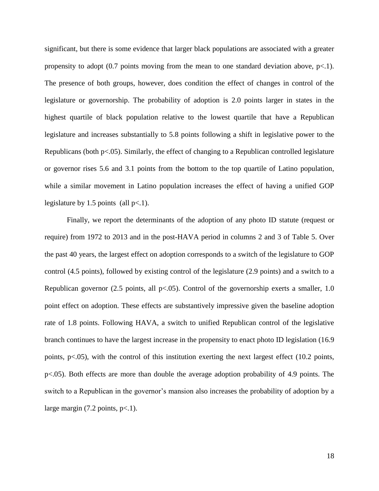significant, but there is some evidence that larger black populations are associated with a greater propensity to adopt  $(0.7 \text{ points moving from the mean to one standard deviation above, p<.1).$ The presence of both groups, however, does condition the effect of changes in control of the legislature or governorship. The probability of adoption is 2.0 points larger in states in the highest quartile of black population relative to the lowest quartile that have a Republican legislature and increases substantially to 5.8 points following a shift in legislative power to the Republicans (both p<.05). Similarly, the effect of changing to a Republican controlled legislature or governor rises 5.6 and 3.1 points from the bottom to the top quartile of Latino population, while a similar movement in Latino population increases the effect of having a unified GOP legislature by 1.5 points (all  $p<1$ ).

Finally, we report the determinants of the adoption of any photo ID statute (request or require) from 1972 to 2013 and in the post-HAVA period in columns 2 and 3 of Table 5. Over the past 40 years, the largest effect on adoption corresponds to a switch of the legislature to GOP control (4.5 points), followed by existing control of the legislature (2.9 points) and a switch to a Republican governor (2.5 points, all  $p<0.05$ ). Control of the governorship exerts a smaller, 1.0 point effect on adoption. These effects are substantively impressive given the baseline adoption rate of 1.8 points. Following HAVA, a switch to unified Republican control of the legislative branch continues to have the largest increase in the propensity to enact photo ID legislation (16.9 points, p<.05), with the control of this institution exerting the next largest effect (10.2 points, p<.05). Both effects are more than double the average adoption probability of 4.9 points. The switch to a Republican in the governor's mansion also increases the probability of adoption by a large margin  $(7.2 \text{ points}, \text{p} < 1)$ .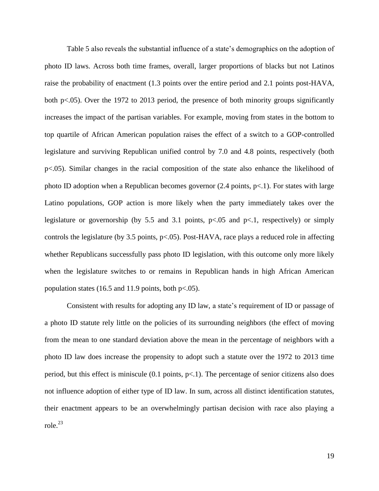Table 5 also reveals the substantial influence of a state's demographics on the adoption of photo ID laws. Across both time frames, overall, larger proportions of blacks but not Latinos raise the probability of enactment (1.3 points over the entire period and 2.1 points post-HAVA, both p<.05). Over the 1972 to 2013 period, the presence of both minority groups significantly increases the impact of the partisan variables. For example, moving from states in the bottom to top quartile of African American population raises the effect of a switch to a GOP-controlled legislature and surviving Republican unified control by 7.0 and 4.8 points, respectively (both p<.05). Similar changes in the racial composition of the state also enhance the likelihood of photo ID adoption when a Republican becomes governor  $(2.4 \text{ points}, p<1)$ . For states with large Latino populations, GOP action is more likely when the party immediately takes over the legislature or governorship (by 5.5 and 3.1 points,  $p<.05$  and  $p<.1$ , respectively) or simply controls the legislature (by 3.5 points,  $p<0.05$ ). Post-HAVA, race plays a reduced role in affecting whether Republicans successfully pass photo ID legislation, with this outcome only more likely when the legislature switches to or remains in Republican hands in high African American population states (16.5 and 11.9 points, both  $p<0.05$ ).

Consistent with results for adopting any ID law, a state's requirement of ID or passage of a photo ID statute rely little on the policies of its surrounding neighbors (the effect of moving from the mean to one standard deviation above the mean in the percentage of neighbors with a photo ID law does increase the propensity to adopt such a statute over the 1972 to 2013 time period, but this effect is miniscule (0.1 points, p<.1). The percentage of senior citizens also does not influence adoption of either type of ID law. In sum, across all distinct identification statutes, their enactment appears to be an overwhelmingly partisan decision with race also playing a role. $^{23}$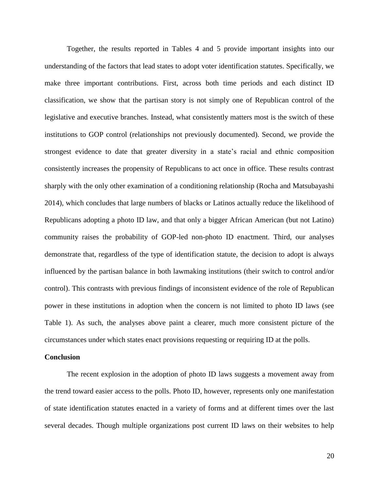Together, the results reported in Tables 4 and 5 provide important insights into our understanding of the factors that lead states to adopt voter identification statutes. Specifically, we make three important contributions. First, across both time periods and each distinct ID classification, we show that the partisan story is not simply one of Republican control of the legislative and executive branches. Instead, what consistently matters most is the switch of these institutions to GOP control (relationships not previously documented). Second, we provide the strongest evidence to date that greater diversity in a state's racial and ethnic composition consistently increases the propensity of Republicans to act once in office. These results contrast sharply with the only other examination of a conditioning relationship (Rocha and Matsubayashi 2014), which concludes that large numbers of blacks or Latinos actually reduce the likelihood of Republicans adopting a photo ID law, and that only a bigger African American (but not Latino) community raises the probability of GOP-led non-photo ID enactment. Third, our analyses demonstrate that, regardless of the type of identification statute, the decision to adopt is always influenced by the partisan balance in both lawmaking institutions (their switch to control and/or control). This contrasts with previous findings of inconsistent evidence of the role of Republican power in these institutions in adoption when the concern is not limited to photo ID laws (see Table 1). As such, the analyses above paint a clearer, much more consistent picture of the circumstances under which states enact provisions requesting or requiring ID at the polls.

#### **Conclusion**

The recent explosion in the adoption of photo ID laws suggests a movement away from the trend toward easier access to the polls. Photo ID, however, represents only one manifestation of state identification statutes enacted in a variety of forms and at different times over the last several decades. Though multiple organizations post current ID laws on their websites to help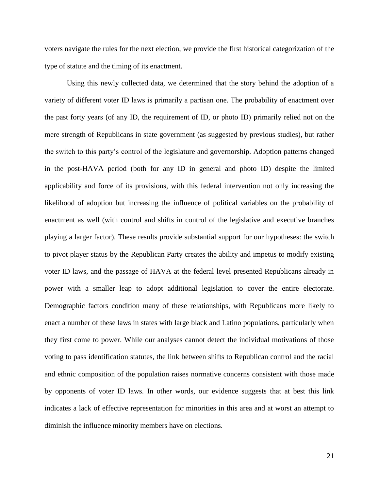voters navigate the rules for the next election, we provide the first historical categorization of the type of statute and the timing of its enactment.

Using this newly collected data, we determined that the story behind the adoption of a variety of different voter ID laws is primarily a partisan one. The probability of enactment over the past forty years (of any ID, the requirement of ID, or photo ID) primarily relied not on the mere strength of Republicans in state government (as suggested by previous studies), but rather the switch to this party's control of the legislature and governorship. Adoption patterns changed in the post-HAVA period (both for any ID in general and photo ID) despite the limited applicability and force of its provisions, with this federal intervention not only increasing the likelihood of adoption but increasing the influence of political variables on the probability of enactment as well (with control and shifts in control of the legislative and executive branches playing a larger factor). These results provide substantial support for our hypotheses: the switch to pivot player status by the Republican Party creates the ability and impetus to modify existing voter ID laws, and the passage of HAVA at the federal level presented Republicans already in power with a smaller leap to adopt additional legislation to cover the entire electorate. Demographic factors condition many of these relationships, with Republicans more likely to enact a number of these laws in states with large black and Latino populations, particularly when they first come to power. While our analyses cannot detect the individual motivations of those voting to pass identification statutes, the link between shifts to Republican control and the racial and ethnic composition of the population raises normative concerns consistent with those made by opponents of voter ID laws. In other words, our evidence suggests that at best this link indicates a lack of effective representation for minorities in this area and at worst an attempt to diminish the influence minority members have on elections.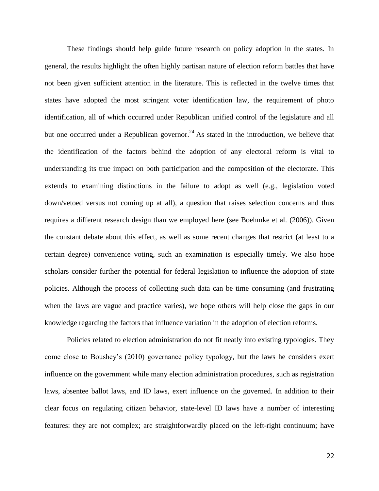These findings should help guide future research on policy adoption in the states. In general, the results highlight the often highly partisan nature of election reform battles that have not been given sufficient attention in the literature. This is reflected in the twelve times that states have adopted the most stringent voter identification law, the requirement of photo identification, all of which occurred under Republican unified control of the legislature and all but one occurred under a Republican governor.<sup>24</sup> As stated in the introduction, we believe that the identification of the factors behind the adoption of any electoral reform is vital to understanding its true impact on both participation and the composition of the electorate. This extends to examining distinctions in the failure to adopt as well (e.g., legislation voted down/vetoed versus not coming up at all), a question that raises selection concerns and thus requires a different research design than we employed here (see Boehmke et al. (2006)). Given the constant debate about this effect, as well as some recent changes that restrict (at least to a certain degree) convenience voting, such an examination is especially timely. We also hope scholars consider further the potential for federal legislation to influence the adoption of state policies. Although the process of collecting such data can be time consuming (and frustrating when the laws are vague and practice varies), we hope others will help close the gaps in our knowledge regarding the factors that influence variation in the adoption of election reforms.

Policies related to election administration do not fit neatly into existing typologies. They come close to Boushey's (2010) governance policy typology, but the laws he considers exert influence on the government while many election administration procedures, such as registration laws, absentee ballot laws, and ID laws, exert influence on the governed. In addition to their clear focus on regulating citizen behavior, state-level ID laws have a number of interesting features: they are not complex; are straightforwardly placed on the left-right continuum; have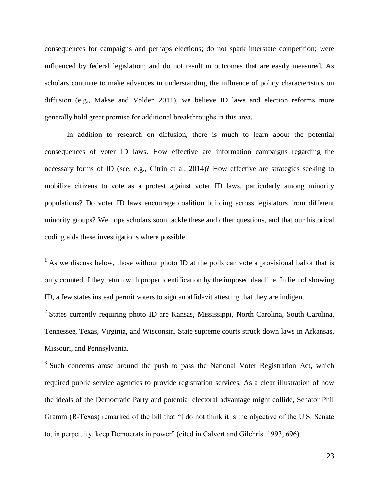consequences for campaigns and perhaps elections; do not spark interstate competition; were influenced by federal legislation; and do not result in outcomes that are easily measured. As scholars continue to make advances in understanding the influence of policy characteristics on diffusion (e.g., Makse and Volden 2011), we believe ID laws and election reforms more generally hold great promise for additional breakthroughs in this area.

In addition to research on diffusion, there is much to learn about the potential consequences of voter ID laws. How effective are information campaigns regarding the necessary forms of ID (see, e.g., Citrin et al. 2014)? How effective are strategies seeking to mobilize citizens to vote as a protest against voter ID laws, particularly among minority populations? Do voter ID laws encourage coalition building across legislators from different minority groups? We hope scholars soon tackle these and other questions, and that our historical coding aids these investigations where possible.

 $<sup>1</sup>$  As we discuss below, those without photo ID at the polls can vote a provisional ballot that is</sup> only counted if they return with proper identification by the imposed deadline. In lieu of showing ID, a few states instead permit voters to sign an affidavit attesting that they are indigent.

 $\overline{a}$ 

<sup>2</sup> States currently requiring photo ID are Kansas, Mississippi, North Carolina, South Carolina, Tennessee, Texas, Virginia, and Wisconsin. State supreme courts struck down laws in Arkansas, Missouri, and Pennsylvania.

 $3$  Such concerns arose around the push to pass the National Voter Registration Act, which required public service agencies to provide registration services. As a clear illustration of how the ideals of the Democratic Party and potential electoral advantage might collide, Senator Phil Gramm (R-Texas) remarked of the bill that "I do not think it is the objective of the U.S. Senate to, in perpetuity, keep Democrats in power" (cited in Calvert and Gilchrist 1993, 696).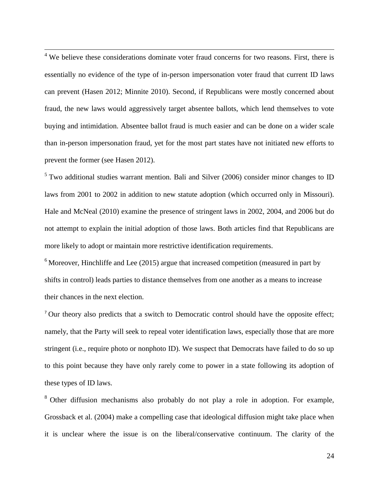<sup>4</sup> We believe these considerations dominate voter fraud concerns for two reasons. First, there is essentially no evidence of the type of in-person impersonation voter fraud that current ID laws can prevent (Hasen 2012; Minnite 2010). Second, if Republicans were mostly concerned about fraud, the new laws would aggressively target absentee ballots, which lend themselves to vote buying and intimidation. Absentee ballot fraud is much easier and can be done on a wider scale than in-person impersonation fraud, yet for the most part states have not initiated new efforts to prevent the former (see Hasen 2012).

 $\overline{a}$ 

 $5$  Two additional studies warrant mention. Bali and Silver (2006) consider minor changes to ID laws from 2001 to 2002 in addition to new statute adoption (which occurred only in Missouri). Hale and McNeal (2010) examine the presence of stringent laws in 2002, 2004, and 2006 but do not attempt to explain the initial adoption of those laws. Both articles find that Republicans are more likely to adopt or maintain more restrictive identification requirements.

 $6$  Moreover, Hinchliffe and Lee (2015) argue that increased competition (measured in part by shifts in control) leads parties to distance themselves from one another as a means to increase their chances in the next election.

<sup>7</sup> Our theory also predicts that a switch to Democratic control should have the opposite effect; namely, that the Party will seek to repeal voter identification laws, especially those that are more stringent (i.e., require photo or nonphoto ID). We suspect that Democrats have failed to do so up to this point because they have only rarely come to power in a state following its adoption of these types of ID laws.

<sup>8</sup> Other diffusion mechanisms also probably do not play a role in adoption. For example, Grossback et al. (2004) make a compelling case that ideological diffusion might take place when it is unclear where the issue is on the liberal/conservative continuum. The clarity of the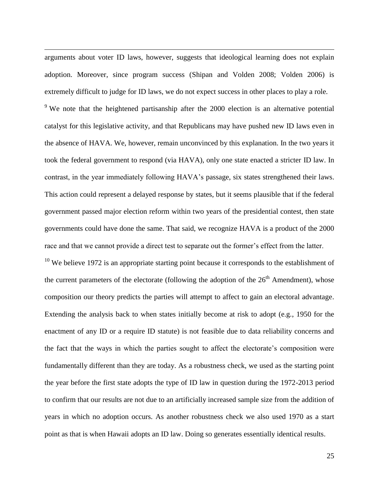arguments about voter ID laws, however, suggests that ideological learning does not explain adoption. Moreover, since program success (Shipan and Volden 2008; Volden 2006) is extremely difficult to judge for ID laws, we do not expect success in other places to play a role.

 $\overline{a}$ 

<sup>9</sup> We note that the heightened partisanship after the 2000 election is an alternative potential catalyst for this legislative activity, and that Republicans may have pushed new ID laws even in the absence of HAVA. We, however, remain unconvinced by this explanation. In the two years it took the federal government to respond (via HAVA), only one state enacted a stricter ID law. In contrast, in the year immediately following HAVA's passage, six states strengthened their laws. This action could represent a delayed response by states, but it seems plausible that if the federal government passed major election reform within two years of the presidential contest, then state governments could have done the same. That said, we recognize HAVA is a product of the 2000 race and that we cannot provide a direct test to separate out the former's effect from the latter.

 $10$  We believe 1972 is an appropriate starting point because it corresponds to the establishment of the current parameters of the electorate (following the adoption of the  $26<sup>th</sup>$  Amendment), whose composition our theory predicts the parties will attempt to affect to gain an electoral advantage. Extending the analysis back to when states initially become at risk to adopt (e.g., 1950 for the enactment of any ID or a require ID statute) is not feasible due to data reliability concerns and the fact that the ways in which the parties sought to affect the electorate's composition were fundamentally different than they are today. As a robustness check, we used as the starting point the year before the first state adopts the type of ID law in question during the 1972-2013 period to confirm that our results are not due to an artificially increased sample size from the addition of years in which no adoption occurs. As another robustness check we also used 1970 as a start point as that is when Hawaii adopts an ID law. Doing so generates essentially identical results.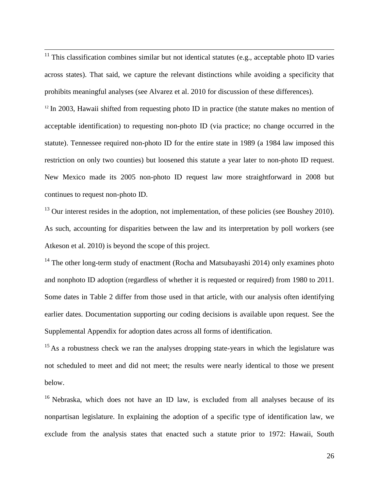$11$  This classification combines similar but not identical statutes (e.g., acceptable photo ID varies across states). That said, we capture the relevant distinctions while avoiding a specificity that prohibits meaningful analyses (see Alvarez et al. 2010 for discussion of these differences).

 $\overline{a}$ 

 $12$  In 2003, Hawaii shifted from requesting photo ID in practice (the statute makes no mention of acceptable identification) to requesting non-photo ID (via practice; no change occurred in the statute). Tennessee required non-photo ID for the entire state in 1989 (a 1984 law imposed this restriction on only two counties) but loosened this statute a year later to non-photo ID request. New Mexico made its 2005 non-photo ID request law more straightforward in 2008 but continues to request non-photo ID.

 $13$  Our interest resides in the adoption, not implementation, of these policies (see Boushey 2010). As such, accounting for disparities between the law and its interpretation by poll workers (see Atkeson et al. 2010) is beyond the scope of this project.

<sup>14</sup> The other long-term study of enactment (Rocha and Matsubayashi 2014) only examines photo and nonphoto ID adoption (regardless of whether it is requested or required) from 1980 to 2011. Some dates in Table 2 differ from those used in that article, with our analysis often identifying earlier dates. Documentation supporting our coding decisions is available upon request. See the Supplemental Appendix for adoption dates across all forms of identification.

 $15$  As a robustness check we ran the analyses dropping state-years in which the legislature was not scheduled to meet and did not meet; the results were nearly identical to those we present below.

<sup>16</sup> Nebraska, which does not have an ID law, is excluded from all analyses because of its nonpartisan legislature. In explaining the adoption of a specific type of identification law, we exclude from the analysis states that enacted such a statute prior to 1972: Hawaii, South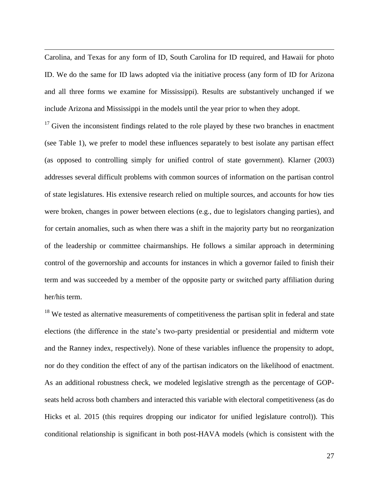Carolina, and Texas for any form of ID, South Carolina for ID required, and Hawaii for photo ID. We do the same for ID laws adopted via the initiative process (any form of ID for Arizona and all three forms we examine for Mississippi). Results are substantively unchanged if we include Arizona and Mississippi in the models until the year prior to when they adopt.

 $\overline{a}$ 

 $17$  Given the inconsistent findings related to the role played by these two branches in enactment (see Table 1), we prefer to model these influences separately to best isolate any partisan effect (as opposed to controlling simply for unified control of state government). Klarner (2003) addresses several difficult problems with common sources of information on the partisan control of state legislatures. His extensive research relied on multiple sources, and accounts for how ties were broken, changes in power between elections (e.g., due to legislators changing parties), and for certain anomalies, such as when there was a shift in the majority party but no reorganization of the leadership or committee chairmanships. He follows a similar approach in determining control of the governorship and accounts for instances in which a governor failed to finish their term and was succeeded by a member of the opposite party or switched party affiliation during her/his term.

 $18$  We tested as alternative measurements of competitiveness the partisan split in federal and state elections (the difference in the state's two-party presidential or presidential and midterm vote and the Ranney index, respectively). None of these variables influence the propensity to adopt, nor do they condition the effect of any of the partisan indicators on the likelihood of enactment. As an additional robustness check, we modeled legislative strength as the percentage of GOPseats held across both chambers and interacted this variable with electoral competitiveness (as do Hicks et al. 2015 (this requires dropping our indicator for unified legislature control)). This conditional relationship is significant in both post-HAVA models (which is consistent with the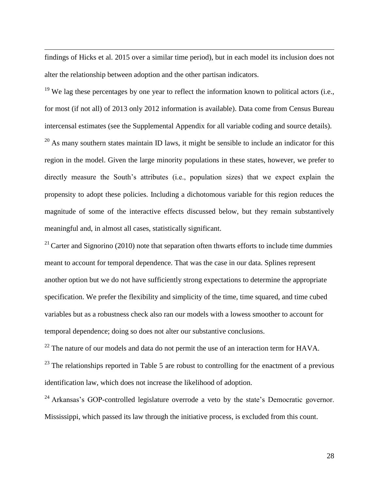findings of Hicks et al. 2015 over a similar time period), but in each model its inclusion does not alter the relationship between adoption and the other partisan indicators.

 $\overline{a}$ 

 $19$  We lag these percentages by one year to reflect the information known to political actors (i.e., for most (if not all) of 2013 only 2012 information is available). Data come from Census Bureau intercensal estimates (see the Supplemental Appendix for all variable coding and source details).

 $20$  As many southern states maintain ID laws, it might be sensible to include an indicator for this region in the model. Given the large minority populations in these states, however, we prefer to directly measure the South's attributes (i.e., population sizes) that we expect explain the propensity to adopt these policies. Including a dichotomous variable for this region reduces the magnitude of some of the interactive effects discussed below, but they remain substantively meaningful and, in almost all cases, statistically significant.

 $21$  Carter and Signorino (2010) note that separation often thwarts efforts to include time dummies meant to account for temporal dependence. That was the case in our data. Splines represent another option but we do not have sufficiently strong expectations to determine the appropriate specification. We prefer the flexibility and simplicity of the time, time squared, and time cubed variables but as a robustness check also ran our models with a lowess smoother to account for temporal dependence; doing so does not alter our substantive conclusions.

 $^{22}$  The nature of our models and data do not permit the use of an interaction term for HAVA.

 $23$  The relationships reported in Table 5 are robust to controlling for the enactment of a previous identification law, which does not increase the likelihood of adoption.

 $24$  Arkansas's GOP-controlled legislature overrode a veto by the state's Democratic governor. Mississippi, which passed its law through the initiative process, is excluded from this count.

28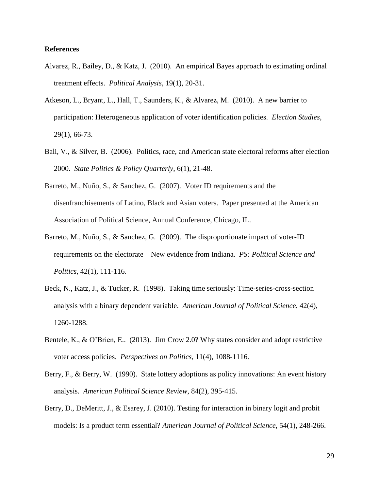#### **References**

- Alvarez, R., Bailey, D., & Katz, J. (2010). An empirical Bayes approach to estimating ordinal treatment effects. *Political Analysis*, 19(1), 20-31.
- Atkeson, L., Bryant, L., Hall, T., Saunders, K., & Alvarez, M. (2010). A new barrier to participation: Heterogeneous application of voter identification policies. *Election Studies*, 29(1), 66-73.
- Bali, V., & Silver, B. (2006). Politics, race, and American state electoral reforms after election 2000. *State Politics & Policy Quarterly*, 6(1), 21-48.
- Barreto, M., Nuño, S., & Sanchez, G. (2007). Voter ID requirements and the disenfranchisements of Latino, Black and Asian voters. Paper presented at the American Association of Political Science, Annual Conference, Chicago, IL.
- Barreto, M., Nuño, S., & Sanchez, G. (2009). The disproportionate impact of voter-ID requirements on the electorate—New evidence from Indiana. *PS: Political Science and Politics*, 42(1), 111-116.
- Beck, N., Katz, J., & Tucker, R. (1998). Taking time seriously: Time-series-cross-section analysis with a binary dependent variable. *American Journal of Political Science*, 42(4), 1260-1288.
- Bentele, K., & O'Brien, E.. (2013). Jim Crow 2.0? Why states consider and adopt restrictive voter access policies. *Perspectives on Politics*, 11(4), 1088-1116.
- Berry, F., & Berry, W. (1990). State lottery adoptions as policy innovations: An event history analysis. *American Political Science Review*, 84(2), 395-415.
- Berry, D., DeMeritt, J., & Esarey, J. (2010). Testing for interaction in binary logit and probit models: Is a product term essential? *American Journal of Political Science*, 54(1), 248-266.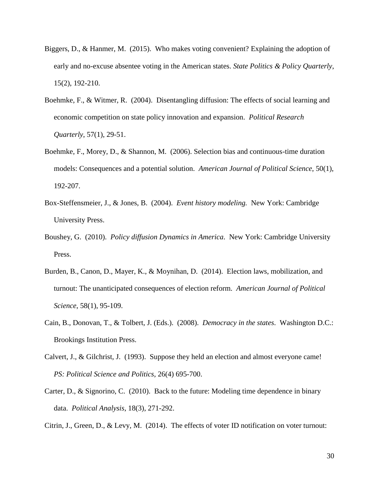- Biggers, D., & Hanmer, M. (2015). Who makes voting convenient? Explaining the adoption of early and no-excuse absentee voting in the American states. *State Politics & Policy Quarterly*, 15(2), 192-210.
- Boehmke, F., & Witmer, R. (2004). Disentangling diffusion: The effects of social learning and economic competition on state policy innovation and expansion. *Political Research Quarterly*, 57(1), 29-51.
- Boehmke, F., Morey, D., & Shannon, M. (2006). Selection bias and continuous-time duration models: Consequences and a potential solution. *American Journal of Political Science*, 50(1), 192-207.
- Box-Steffensmeier, J., & Jones, B. (2004). *Event history modeling.* New York: Cambridge University Press.
- Boushey, G. (2010). *Policy diffusion Dynamics in America*. New York: Cambridge University Press.
- Burden, B., Canon, D., Mayer, K., & Moynihan, D. (2014). Election laws, mobilization, and turnout: The unanticipated consequences of election reform. *American Journal of Political Science*, 58(1), 95-109.
- Cain, B., Donovan, T., & Tolbert, J. (Eds.). (2008). *Democracy in the states*. Washington D.C.: Brookings Institution Press.
- Calvert, J., & Gilchrist, J. (1993). Suppose they held an election and almost everyone came! *PS: Political Science and Politics*, 26(4) 695-700.
- Carter, D., & Signorino, C. (2010). Back to the future: Modeling time dependence in binary data. *Political Analysis*, 18(3), 271-292.
- Citrin, J., Green, D., & Levy, M. (2014). The effects of voter ID notification on voter turnout: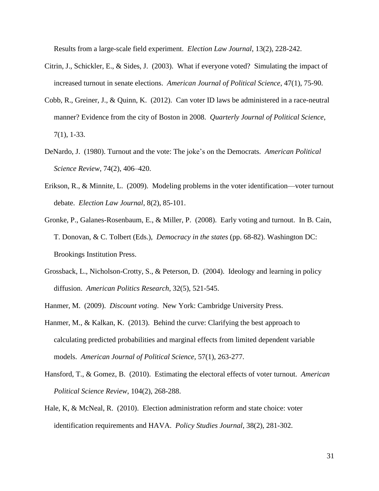Results from a large-scale field experiment. *Election Law Journal*, 13(2), 228-242.

- Citrin, J., Schickler, E., & Sides, J. (2003). What if everyone voted? Simulating the impact of increased turnout in senate elections. *American Journal of Political Science*, 47(1), 75-90.
- Cobb, R., Greiner, J., & Quinn, K. (2012). Can voter ID laws be administered in a race-neutral manner? Evidence from the city of Boston in 2008. *Quarterly Journal of Political Science*, 7(1), 1-33.
- DeNardo, J. (1980). Turnout and the vote: The joke's on the Democrats. *American Political Science Review*, 74(2), 406–420.
- Erikson, R., & Minnite, L. (2009). Modeling problems in the voter identification—voter turnout debate. *Election Law Journal*, 8(2), 85-101.
- Gronke, P., Galanes-Rosenbaum, E., & Miller, P. (2008). Early voting and turnout. In B. Cain, T. Donovan, & C. Tolbert (Eds.), *Democracy in the states* (pp. 68-82). Washington DC: Brookings Institution Press.
- Grossback, L., Nicholson-Crotty, S., & Peterson, D. (2004). Ideology and learning in policy diffusion. *American Politics Research*, 32(5), 521-545.
- Hanmer, M. (2009). *Discount voting*. New York: Cambridge University Press.
- Hanmer, M., & Kalkan, K. (2013). Behind the curve: Clarifying the best approach to calculating predicted probabilities and marginal effects from limited dependent variable models. *American Journal of Political Science*, 57(1), 263-277.
- Hansford, T., & Gomez, B. (2010). Estimating the electoral effects of voter turnout. *American Political Science Review*, 104(2), 268-288.
- Hale, K, & McNeal, R. (2010). Election administration reform and state choice: voter identification requirements and HAVA. *Policy Studies Journal*, 38(2), 281-302.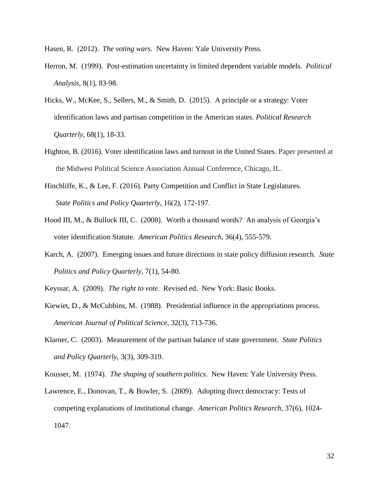Hasen, R. (2012). *The voting wars.* New Haven: Yale University Press.

- Herron, M. (1999). Post-estimation uncertainty in limited dependent variable models. *Political Analysis*, 8(1), 83-98.
- Hicks, W., McKee, S., Sellers, M., & Smith, D. (2015). A principle or a strategy: Voter identification laws and partisan competition in the American states. *Political Research Quarterly*, 68(1), 18-33.
- Highton, B. (2016). Voter identification laws and turnout in the United States. Paper presented at the Midwest Political Science Association Annual Conference, Chicago, IL.
- Hinchliffe, K., & Lee, F. (2016). Party Competition and Conflict in State Legislatures. *State Politics and Policy Quarterly*, 16(2), 172-197.
- Hood III, M., & Bullock III, C. (2008). Worth a thousand words? An analysis of Georgia's voter identification Statute. *American Politics Research*, 36(4), 555-579.
- Karch, A. (2007). Emerging issues and future directions in state policy diffusion research. *State Politics and Policy Quarterly*, 7(1), 54-80.
- Keyssar, A. (2009). *The right to vote.* Revised ed. New York: Basic Books.
- Kiewiet, D., & McCubbins, M. (1988). Presidential influence in the appropriations process. *American Journal of Political Science*, 32(3), 713-736.
- Klarner, C. (2003). Measurement of the partisan balance of state government. *State Politics and Policy Quarterly*, 3(3), 309-319.
- Kousser, M. (1974). *The shaping of southern politics*. New Haven: Yale University Press.
- Lawrence, E., Donovan, T., & Bowler, S. (2009). Adopting direct democracy: Tests of competing explanations of institutional change. *American Politics Research*, 37(6), 1024- 1047.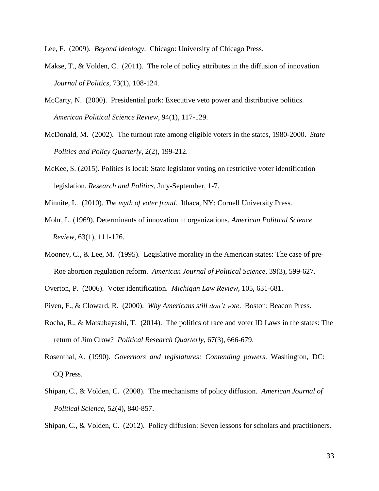Lee, F. (2009). *Beyond ideology*. Chicago: University of Chicago Press.

- Makse, T., & Volden, C. (2011). The role of policy attributes in the diffusion of innovation. *Journal of Politics*, 73(1), 108-124.
- McCarty, N. (2000). Presidential pork: Executive veto power and distributive politics. *American Political Science Review*, 94(1), 117-129.
- McDonald, M. (2002). The turnout rate among eligible voters in the states, 1980-2000. *State Politics and Policy Quarterly*, 2(2), 199-212.
- McKee, S. (2015). Politics is local: State legislator voting on restrictive voter identification legislation. *Research and Politics*, July-September, 1-7.
- Minnite, L. (2010). *The myth of voter fraud*. Ithaca, NY: Cornell University Press.
- Mohr, L. (1969). Determinants of innovation in organizations. *American Political Science Review*, 63(1), 111-126.
- Mooney, C., & Lee, M. (1995). Legislative morality in the American states: The case of pre- Roe abortion regulation reform. *American Journal of Political Science*, 39(3), 599-627.
- Overton, P. (2006). Voter identification. *Michigan Law Review*, 105, 631-681.
- Piven, F., & Cloward, R. (2000). *Why Americans still don't vote*. Boston: Beacon Press.
- Rocha, R., & Matsubayashi, T. (2014). The politics of race and voter ID Laws in the states: The return of Jim Crow? *Political Research Quarterly*, 67(3), 666-679.
- Rosenthal, A. (1990). *Governors and legislatures: Contending powers*. Washington, DC: CQ Press.
- Shipan, C., & Volden, C. (2008). The mechanisms of policy diffusion. *American Journal of Political Science*, 52(4), 840‐857.

Shipan, C., & Volden, C. (2012). Policy diffusion: Seven lessons for scholars and practitioners.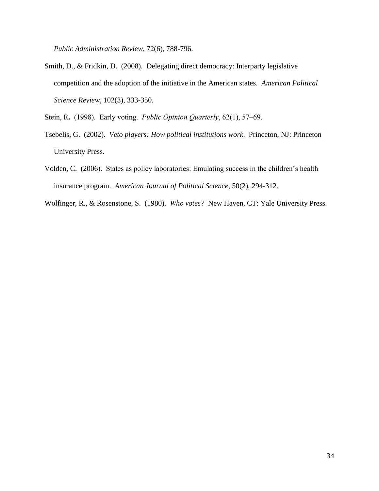*Public Administration Review*, 72(6), 788-796.

Smith, D., & Fridkin, D. (2008). Delegating direct democracy: Interparty legislative competition and the adoption of the initiative in the American states. *American Political Science Review*, 102(3), 333-350.

Stein, R**.** (1998). Early voting. *Public Opinion Quarterly*, 62(1), 57–69.

- Tsebelis, G. (2002). *Veto players: How political institutions work*. Princeton, NJ: Princeton University Press.
- Volden, C. (2006). States as policy laboratories: Emulating success in the children's health insurance program. *American Journal of Political Science*, 50(2), 294‐312.
- Wolfinger, R., & Rosenstone, S. (1980). *Who votes?* New Haven, CT: Yale University Press.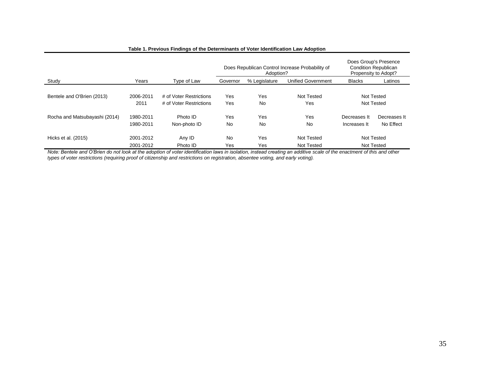|                               |                        |                                                    | Does Republican Control Increase Probability of<br>Adoption? |               |                           | Does Group's Presence<br><b>Condition Republican</b><br>Propensity to Adopt? |                           |  |
|-------------------------------|------------------------|----------------------------------------------------|--------------------------------------------------------------|---------------|---------------------------|------------------------------------------------------------------------------|---------------------------|--|
| Study                         | Years                  | Type of Law                                        | Governor                                                     | % Legislature | <b>Unified Government</b> | <b>Blacks</b>                                                                | Latinos                   |  |
| Bentele and O'Brien (2013)    | 2006-2011<br>2011      | # of Voter Restrictions<br># of Voter Restrictions | Yes<br>Yes                                                   | Yes<br>No     | Not Tested<br>Yes         |                                                                              | Not Tested<br>Not Tested  |  |
| Rocha and Matsubayashi (2014) | 1980-2011<br>1980-2011 | Photo ID<br>Non-photo ID                           | Yes<br>No                                                    | Yes<br>No     | Yes<br>No                 | Decreases It<br>Increases It                                                 | Decreases It<br>No Effect |  |
| Hicks et al. (2015)           | 2001-2012<br>2001-2012 | Any ID<br>Photo ID                                 | No<br>Yes                                                    | Yes<br>Yes    | Not Tested<br>Not Tested  |                                                                              | Not Tested<br>Not Tested  |  |

#### **Table 1. Previous Findings of the Determinants of Voter Identification Law Adoption**

*Note: Bentele and O'Brien do not look at the adoption of voter identification laws in isolation, instead creating an additive scale of the enactment of this and other types of voter restrictions (requiring proof of citizenship and restrictions on registration, absentee voting, and early voting).*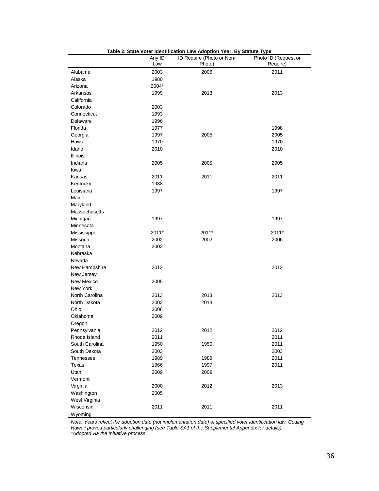|                | Any ID | ID Require (Photo or Non- | Photo ID (Request or |
|----------------|--------|---------------------------|----------------------|
|                | Law    | Photo)                    | Require)             |
| Alabama        | 2003   | 2006                      | 2011                 |
| Alaska         | 1980   |                           |                      |
| Arizona        | 2004*  |                           |                      |
| Arkansas       | 1999   | 2013                      | 2013                 |
| California     |        |                           |                      |
| Colorado       | 2003   |                           |                      |
| Connecticut    | 1993   |                           |                      |
| Delaware       | 1996   |                           |                      |
| Florida        | 1977   |                           | 1998                 |
| Georgia        | 1997   | 2005                      | 2005                 |
| Hawaii         | 1970   |                           | 1970                 |
| Idaho          | 2010   |                           | 2010                 |
| Illinois       |        |                           |                      |
| Indiana        | 2005   | 2005                      | 2005                 |
| lowa           |        |                           |                      |
| Kansas         | 2011   | 2011                      | 2011                 |
| Kentucky       | 1988   |                           |                      |
| Louisiana      | 1997   |                           | 1997                 |
| Maine          |        |                           |                      |
| Maryland       |        |                           |                      |
| Massachusetts  |        |                           |                      |
| Michigan       | 1997   |                           | 1997                 |
| Minnesota      |        |                           |                      |
| Mississippi    | 2011*  | 2011*                     | 2011*                |
| Missouri       | 2002   | 2002                      | 2006                 |
| Montana        | 2003   |                           |                      |
| Nebraska       |        |                           |                      |
| Nevada         |        |                           |                      |
| New Hampshire  | 2012   |                           | 2012                 |
| New Jersey     |        |                           |                      |
| New Mexico     | 2005   |                           |                      |
| New York       |        |                           |                      |
| North Carolina | 2013   | 2013                      | 2013                 |
| North Dakota   | 2003   | 2013                      |                      |
| Ohio           | 2006   |                           |                      |
| Oklahoma       | 2009   |                           |                      |
| Oregon         |        |                           |                      |
| Pennsylvania   | 2012   | 2012                      | 2012                 |
| Rhode Island   | 2011   |                           | 2011                 |
| South Carolina | 1950   | 1950                      | 2011                 |
| South Dakota   | 2003   |                           | 2003                 |
| Tennessee      | 1989   | 1989                      | 2011                 |
| Texas          | 1966   | 1997                      | 2011                 |
| Utah           | 2009   | 2009                      |                      |
| Vermont        |        |                           |                      |
| Virginia       | 2000   | 2012                      | 2013                 |
| Washington     | 2005   |                           |                      |
| West Virginia  |        |                           |                      |
| Wisconsin      | 2011   | 2011                      | 2011                 |
| Wyoming        |        |                           |                      |

**Table 2. State Voter Identification Law Adoption Year, By Statute Type**

*Note: Years reflect the adoption date (not implementation date) of specified voter identification law. Coding Hawaii proved particularly challenging (see Table SA1 of the Supplemental Appendix for details). \*Adopted via the Initiative process.*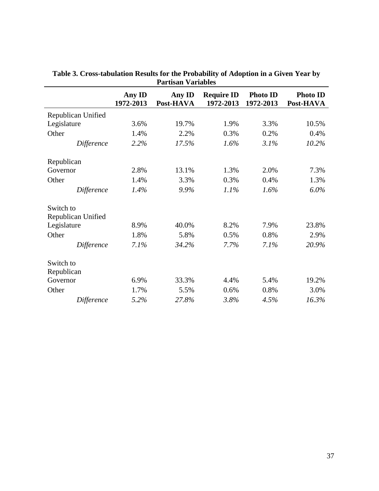|                    |                     | r ar usan variables |                                |                              |                              |
|--------------------|---------------------|---------------------|--------------------------------|------------------------------|------------------------------|
|                    | Any ID<br>1972-2013 | Any ID<br>Post-HAVA | <b>Require ID</b><br>1972-2013 | <b>Photo ID</b><br>1972-2013 | <b>Photo ID</b><br>Post-HAVA |
| Republican Unified |                     |                     |                                |                              |                              |
| Legislature        | 3.6%                | 19.7%               | 1.9%                           | 3.3%                         | 10.5%                        |
| Other              | 1.4%                | 2.2%                | 0.3%                           | 0.2%                         | 0.4%                         |
| Difference         | 2.2%                | 17.5%               | 1.6%                           | 3.1%                         | 10.2%                        |
| Republican         |                     |                     |                                |                              |                              |
| Governor           | 2.8%                | 13.1%               | 1.3%                           | 2.0%                         | 7.3%                         |
| Other              | 1.4%                | 3.3%                | 0.3%                           | 0.4%                         | 1.3%                         |
| Difference         | 1.4%                | 9.9%                | 1.1%                           | 1.6%                         | 6.0%                         |
| Switch to          |                     |                     |                                |                              |                              |
| Republican Unified |                     |                     |                                |                              |                              |
| Legislature        | 8.9%                | 40.0%               | 8.2%                           | 7.9%                         | 23.8%                        |
| Other              | 1.8%                | 5.8%                | 0.5%                           | 0.8%                         | 2.9%                         |
| Difference         | 7.1%                | 34.2%               | 7.7%                           | 7.1%                         | 20.9%                        |
| Switch to          |                     |                     |                                |                              |                              |
| Republican         |                     |                     |                                |                              |                              |
| Governor           | 6.9%                | 33.3%               | 4.4%                           | 5.4%                         | 19.2%                        |
| Other              | 1.7%                | 5.5%                | 0.6%                           | 0.8%                         | 3.0%                         |
| <b>Difference</b>  | 5.2%                | 27.8%               | 3.8%                           | 4.5%                         | 16.3%                        |

**Table 3. Cross-tabulation Results for the Probability of Adoption in a Given Year by Partisan Variables**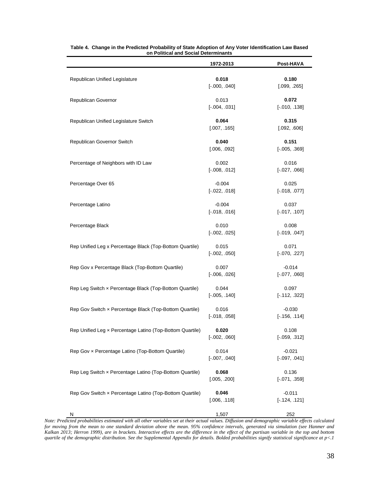|                                                           | 1972-2013                   | Post-HAVA                   |
|-----------------------------------------------------------|-----------------------------|-----------------------------|
| Republican Unified Legislature                            | 0.018<br>$[-.000, .040]$    | 0.180<br>[.099, .265]       |
| Republican Governor                                       | 0.013<br>$[-.004, .031]$    | 0.072<br>$[-.010, .138]$    |
| Republican Unified Legislature Switch                     | 0.064<br>[.007, .165]       | 0.315<br>[.092, .606]       |
| Republican Governor Switch                                | 0.040<br>[.006, .092]       | 0.151<br>$[-.005, .369]$    |
| Percentage of Neighbors with ID Law                       | 0.002<br>$[-.008, .012]$    | 0.016<br>$[-.027, .066]$    |
| Percentage Over 65                                        | $-0.004$<br>$[-.022, .018]$ | 0.025<br>$[-.018, .077]$    |
| Percentage Latino                                         | $-0.004$<br>$[-.018, .016]$ | 0.037<br>$[-.017, .107]$    |
| Percentage Black                                          | 0.010<br>$[-.002, .025]$    | 0.008<br>$[-.019, .047]$    |
| Rep Unified Leg x Percentage Black (Top-Bottom Quartile)  | 0.015<br>$[-.002, .050]$    | 0.071<br>$[-.070, .227]$    |
| Rep Gov x Percentage Black (Top-Bottom Quartile)          | 0.007<br>$[-.006, .026]$    | $-0.014$<br>$[-.077, .060]$ |
| Rep Leg Switch x Percentage Black (Top-Bottom Quartile)   | 0.044<br>$[-.005, .140]$    | 0.097<br>$[-.112, .322]$    |
| Rep Gov Switch x Percentage Black (Top-Bottom Quartile)   | 0.016<br>$[-.018, .058]$    | $-0.030$<br>$[-.156, .114]$ |
| Rep Unified Leg x Percentage Latino (Top-Bottom Quartile) | 0.020<br>$[-.002, .060]$    | 0.108<br>$[-.059, .312]$    |
| Rep Gov x Percentage Latino (Top-Bottom Quartile)         | 0.014<br>$[-.007, .040]$    | $-0.021$<br>$[-.097, .041]$ |
| Rep Leg Switch x Percentage Latino (Top-Bottom Quartile)  | 0.068<br>[.005, .200]       | 0.136<br>$[-.071, .359]$    |
| Rep Gov Switch x Percentage Latino (Top-Bottom Quartile)  | 0.046<br>[.006, .118]       | $-0.011$<br>$[-.124, .121]$ |
| N                                                         | 1,507                       | 252                         |

|                                      | Table 4. Change in the Predicted Probability of State Adoption of Any Voter Identification Law Based |  |  |  |  |
|--------------------------------------|------------------------------------------------------------------------------------------------------|--|--|--|--|
| on Political and Social Determinants |                                                                                                      |  |  |  |  |

*Note: Predicted probabilities estimated with all other variables set at their actual values. Diffusion and demographic variable effects calculated for moving from the mean to one standard deviation above the mean. 95% confidence intervals, generated via simulation (see Hanmer and Kalkan 2013; Herron 1999), are in brackets. Interactive effects are the difference in the effect of the partisan variable in the top and bottom quartile of the demographic distribution. See the Supplemental Appendix for details. Bolded probabilities signify statistical significance at p<.1*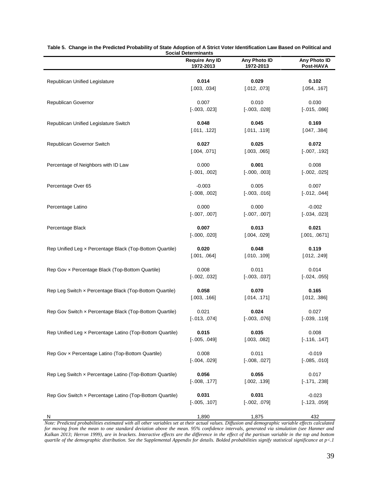|                                                           | JULIAI DELENINIAIILS               |                           |                           |
|-----------------------------------------------------------|------------------------------------|---------------------------|---------------------------|
|                                                           | <b>Require Any ID</b><br>1972-2013 | Any Photo ID<br>1972-2013 | Any Photo ID<br>Post-HAVA |
| Republican Unified Legislature                            | 0.014                              | 0.029                     | 0.102                     |
|                                                           | [.003, .034]                       | [.012, .073]              | [.054, .167]              |
| Republican Governor                                       | 0.007                              | 0.010                     | 0.030                     |
|                                                           | $[-.003, .023]$                    | $[-.003, .028]$           | $[-.015, .086]$           |
| Republican Unified Legislature Switch                     | 0.048                              | 0.045                     | 0.169                     |
|                                                           | [.011, .122]                       | [.011, .119]              | [.047, .384]              |
| Republican Governor Switch                                | 0.027                              | 0.025                     | 0.072                     |
|                                                           | [.004, .071]                       | [.003, .065]              | $[-.007, .192]$           |
| Percentage of Neighbors with ID Law                       | 0.000                              | 0.001                     | 0.008                     |
|                                                           | $[-.001, .002]$                    | $[-.000, .003]$           | $[-.002, .025]$           |
| Percentage Over 65                                        | $-0.003$                           | 0.005                     | 0.007                     |
|                                                           | $[-.008, .002]$                    | $[-.003, .016]$           | $[-.012, .044]$           |
| Percentage Latino                                         | 0.000                              | 0.000                     | $-0.002$                  |
|                                                           | $[-.007, .007]$                    | $[-.007, .007]$           | $[-.034, .023]$           |
| Percentage Black                                          | 0.007                              | 0.013                     | 0.021                     |
|                                                           | $[-.000, .020]$                    | [.004, .029]              | [.001, .0671]             |
| Rep Unified Leg x Percentage Black (Top-Bottom Quartile)  | 0.020                              | 0.048                     | 0.119                     |
|                                                           | [.001, .064]                       | [.010, .109]              | [.012, .249]              |
| Rep Gov x Percentage Black (Top-Bottom Quartile)          | 0.008                              | 0.011                     | 0.014                     |
|                                                           | $[-.002, .032]$                    | $[-.003, .037]$           | $[-.024, .055]$           |
| Rep Leg Switch x Percentage Black (Top-Bottom Quartile)   | 0.058                              | 0.070                     | 0.165                     |
|                                                           | [.003, .166]                       | [.014, .171]              | [.012, .386]              |
| Rep Gov Switch x Percentage Black (Top-Bottom Quartile)   | 0.021                              | 0.024                     | 0.027                     |
|                                                           | $[-.013, .074]$                    | $[-.003, .076]$           | $[-.039, .119]$           |
| Rep Unified Leg x Percentage Latino (Top-Bottom Quartile) | 0.015                              | 0.035                     | 0.008                     |
|                                                           | $[-.005, .049]$                    | [.003, .082]              | $[-.116, .147]$           |
| Rep Gov x Percentage Latino (Top-Bottom Quartile)         | 0.008                              | 0.011                     | $-0.019$                  |
|                                                           | $[-.004, .029]$                    | $[-.008, .027]$           | $[-.085, .010]$           |
| Rep Leg Switch x Percentage Latino (Top-Bottom Quartile)  | 0.056                              | 0.055                     | 0.017                     |
|                                                           | $[-.008, .177]$                    | [.002, .139]              | $[-.171, .238]$           |
| Rep Gov Switch x Percentage Latino (Top-Bottom Quartile)  | 0.031                              | 0.031                     | $-0.023$                  |
|                                                           | $[-.005, .107]$                    | $[-.002, .079]$           | $[-.123, .059]$           |
| N                                                         | 1,890                              | 1,875                     | 432                       |

**Table 5. Change in the Predicted Probability of State Adoption of A Strict Voter Identification Law Based on Political and Social Determinants**

*Note: Predicted probabilities estimated with all other variables set at their actual values. Diffusion and demographic variable effects calculated for moving from the mean to one standard deviation above the mean. 95% confidence intervals, generated via simulation (see Hanmer and Kalkan 2013; Herron 1999), are in brackets. Interactive effects are the difference in the effect of the partisan variable in the top and bottom quartile of the demographic distribution. See the Supplemental Appendix for details. Bolded probabilities signify statistical significance at p<.1*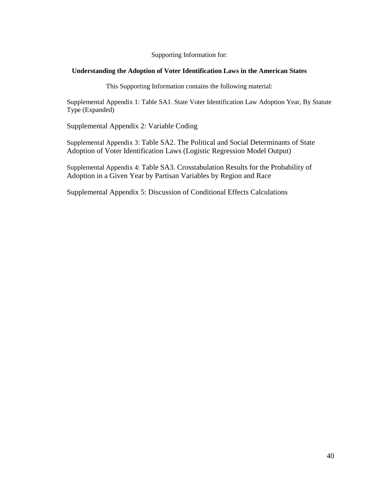Supporting Information for:

#### **Understanding the Adoption of Voter Identification Laws in the American States**

This Supporting Information contains the following material:

Supplemental Appendix 1: Table SA1. State Voter Identification Law Adoption Year, By Statute Type (Expanded)

Supplemental Appendix 2: Variable Coding

Supplemental Appendix 3: Table SA2. The Political and Social Determinants of State Adoption of Voter Identification Laws (Logistic Regression Model Output)

Supplemental Appendix 4: Table SA3. Crosstabulation Results for the Probability of Adoption in a Given Year by Partisan Variables by Region and Race

Supplemental Appendix 5: Discussion of Conditional Effects Calculations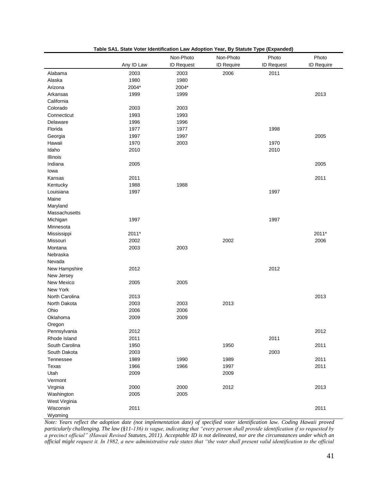|                |            | Non-Photo         | Non-Photo  | Photo             | Photo      |
|----------------|------------|-------------------|------------|-------------------|------------|
|                | Any ID Law | <b>ID Request</b> | ID Require | <b>ID Request</b> | ID Require |
| Alabama        | 2003       | 2003              | 2006       | 2011              |            |
| Alaska         | 1980       | 1980              |            |                   |            |
| Arizona        | 2004*      | 2004*             |            |                   |            |
| Arkansas       | 1999       | 1999              |            |                   | 2013       |
| California     |            |                   |            |                   |            |
| Colorado       | 2003       | 2003              |            |                   |            |
| Connecticut    | 1993       | 1993              |            |                   |            |
| Delaware       | 1996       | 1996              |            |                   |            |
| Florida        | 1977       | 1977              |            | 1998              |            |
| Georgia        | 1997       | 1997              |            |                   | 2005       |
| Hawaii         | 1970       | 2003              |            | 1970              |            |
| Idaho          | 2010       |                   |            | 2010              |            |
| Illinois       |            |                   |            |                   |            |
| Indiana        | 2005       |                   |            |                   | 2005       |
| lowa           |            |                   |            |                   |            |
| Kansas         | 2011       |                   |            |                   | 2011       |
| Kentucky       | 1988       | 1988              |            |                   |            |
| Louisiana      | 1997       |                   |            | 1997              |            |
| Maine          |            |                   |            |                   |            |
| Maryland       |            |                   |            |                   |            |
| Massachusetts  |            |                   |            |                   |            |
| Michigan       | 1997       |                   |            | 1997              |            |
| Minnesota      |            |                   |            |                   |            |
| Mississippi    | 2011*      |                   |            |                   | 2011*      |
| Missouri       | 2002       |                   | 2002       |                   | 2006       |
| Montana        | 2003       | 2003              |            |                   |            |
| Nebraska       |            |                   |            |                   |            |
| Nevada         |            |                   |            |                   |            |
| New Hampshire  | 2012       |                   |            | 2012              |            |
| New Jersey     |            |                   |            |                   |            |
| New Mexico     | 2005       | 2005              |            |                   |            |
| New York       |            |                   |            |                   |            |
| North Carolina | 2013       |                   |            |                   | 2013       |
| North Dakota   | 2003       | 2003              | 2013       |                   |            |
| Ohio           | 2006       | 2006              |            |                   |            |
| Oklahoma       | 2009       | 2009              |            |                   |            |
| Oregon         |            |                   |            |                   |            |
| Pennsylvania   | 2012       |                   |            |                   | 2012       |
| Rhode Island   | 2011       |                   |            | 2011              |            |
| South Carolina | 1950       |                   | 1950       |                   | 2011       |
| South Dakota   | 2003       |                   |            | 2003              |            |
| Tennessee      | 1989       | 1990              | 1989       |                   | 2011       |
| Texas          | 1966       | 1966              | 1997       |                   | 2011       |
| Utah           | 2009       |                   | 2009       |                   |            |
| Vermont        |            |                   |            |                   |            |
| Virginia       | 2000       | 2000              | 2012       |                   | 2013       |
| Washington     | 2005       | 2005              |            |                   |            |
| West Virginia  |            |                   |            |                   |            |
| Wisconsin      | 2011       |                   |            |                   | 2011       |
| Wyoming        |            |                   |            |                   |            |

**Table SA1. State Voter Identification Law Adoption Year, By Statute Type (Expanded)**

*Note: Years reflect the adoption date (not implementation date) of specified voter identification law. Coding Hawaii proved particularly challenging. The law (§11-136) is vague, indicating that "every person shall provide identification if so requested by a precinct official" (Hawaii Revised Statutes, 2011). Acceptable ID is not delineated, nor are the circumstances under which an official might request it. In 1982, a new administrative rule states that "the voter shall present valid identification to the official*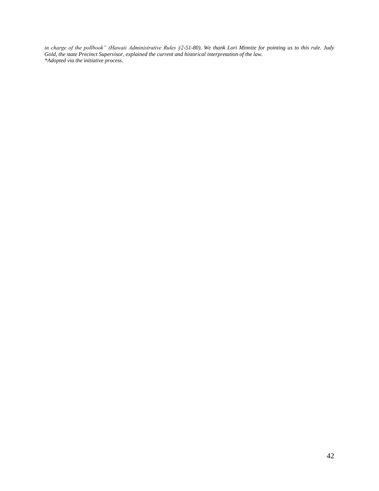*in charge of the pollbook" (Hawaii Administrative Rules §2-51-80). We thank Lori Minnite for pointing us to this rule. Judy Gold, the state Precinct Supervisor, explained the current and historical interpretation of the law. \*Adopted via the initiative process.*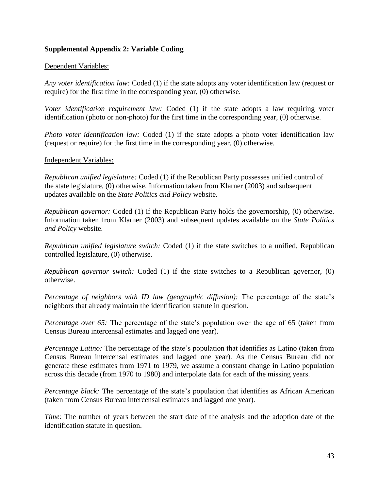## **Supplemental Appendix 2: Variable Coding**

### Dependent Variables:

*Any voter identification law:* Coded (1) if the state adopts any voter identification law (request or require) for the first time in the corresponding year, (0) otherwise.

*Voter identification requirement law:* Coded (1) if the state adopts a law requiring voter identification (photo or non-photo) for the first time in the corresponding year, (0) otherwise.

*Photo voter identification law:* Coded (1) if the state adopts a photo voter identification law (request or require) for the first time in the corresponding year, (0) otherwise.

#### Independent Variables:

*Republican unified legislature:* Coded (1) if the Republican Party possesses unified control of the state legislature, (0) otherwise. Information taken from Klarner (2003) and subsequent updates available on the *State Politics and Policy* website.

*Republican governor:* Coded (1) if the Republican Party holds the governorship, (0) otherwise. Information taken from Klarner (2003) and subsequent updates available on the *State Politics and Policy* website.

*Republican unified legislature switch:* Coded (1) if the state switches to a unified, Republican controlled legislature, (0) otherwise.

*Republican governor switch:* Coded (1) if the state switches to a Republican governor, (0) otherwise.

*Percentage of neighbors with ID law (geographic diffusion):* The percentage of the state's neighbors that already maintain the identification statute in question.

*Percentage over 65:* The percentage of the state's population over the age of 65 (taken from Census Bureau intercensal estimates and lagged one year).

*Percentage Latino:* The percentage of the state's population that identifies as Latino (taken from Census Bureau intercensal estimates and lagged one year). As the Census Bureau did not generate these estimates from 1971 to 1979, we assume a constant change in Latino population across this decade (from 1970 to 1980) and interpolate data for each of the missing years.

*Percentage black:* The percentage of the state's population that identifies as African American (taken from Census Bureau intercensal estimates and lagged one year).

*Time:* The number of years between the start date of the analysis and the adoption date of the identification statute in question.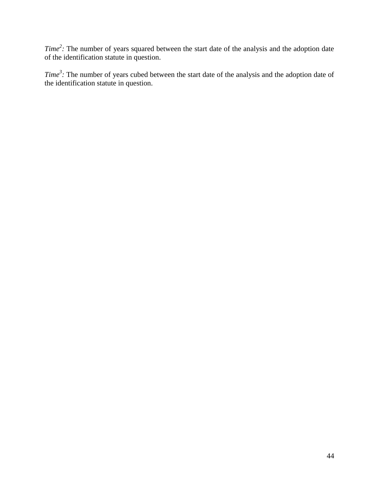*Time*<sup>2</sup>: The number of years squared between the start date of the analysis and the adoption date of the identification statute in question.

*Time<sup>3</sup> :* The number of years cubed between the start date of the analysis and the adoption date of the identification statute in question.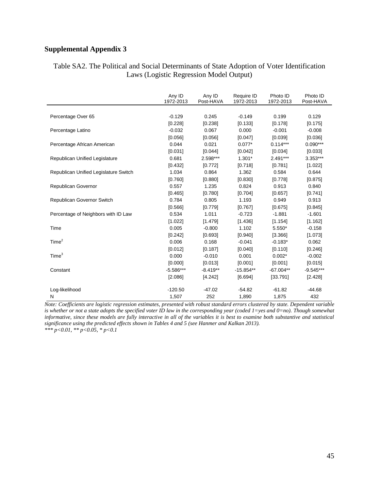## **Supplemental Appendix 3**

## Table SA2. The Political and Social Determinants of State Adoption of Voter Identification Laws (Logistic Regression Model Output)

|                                       | Any ID<br>1972-2013 | Any ID<br>Post-HAVA | Require ID<br>1972-2013 | Photo ID<br>1972-2013 | Photo ID<br>Post-HAVA |
|---------------------------------------|---------------------|---------------------|-------------------------|-----------------------|-----------------------|
|                                       |                     |                     |                         |                       |                       |
| Percentage Over 65                    | $-0.129$            | 0.245               | $-0.149$                | 0.199                 | 0.129                 |
|                                       | [0.228]             | [0.238]             | [0.133]                 | [0.178]               | [0.175]               |
| Percentage Latino                     | $-0.032$            | 0.067               | 0.000                   | $-0.001$              | $-0.008$              |
|                                       | [0.056]             | [0.056]             | [0.047]                 | [0.039]               | [0.036]               |
| Percentage African American           | 0.044               | 0.021               | $0.077*$                | $0.114***$            | $0.090***$            |
|                                       | [0.031]             | [0.044]             | [0.042]                 | [0.034]               | [0.033]               |
| Republican Unified Legislature        | 0.681               | 2.598***            | $1.301*$                | $2.491***$            | 3.353***              |
|                                       | [0.432]             | [0.772]             | [0.718]                 | [0.781]               | [1.022]               |
| Republican Unified Legislature Switch | 1.034               | 0.864               | 1.362                   | 0.584                 | 0.644                 |
|                                       | [0.760]             | [0.880]             | [0.830]                 | [0.778]               | [0.875]               |
| Republican Governor                   | 0.557               | 1.235               | 0.824                   | 0.913                 | 0.840                 |
|                                       | [0.465]             | [0.780]             | [0.704]                 | [0.657]               | [0.741]               |
| Republican Governor Switch            | 0.784               | 0.805               | 1.193                   | 0.949                 | 0.913                 |
|                                       | [0.566]             | [0.779]             | [0.767]                 | [0.675]               | [0.845]               |
| Percentage of Neighbors with ID Law   | 0.534               | 1.011               | $-0.723$                | $-1.881$              | $-1.601$              |
|                                       | [1.022]             | [1.479]             | [1.436]                 | [1.154]               | [1.162]               |
| Time                                  | 0.005               | $-0.800$            | 1.102                   | $5.550*$              | $-0.158$              |
|                                       | [0.242]             | [0.693]             | [0.940]                 | [3.366]               | [1.073]               |
| Time <sup>2</sup>                     | 0.006               | 0.168               | $-0.041$                | $-0.183*$             | 0.062                 |
|                                       | [0.012]             | [0.187]             | [0.040]                 | [0.110]               | [0.246]               |
| Time <sup>3</sup>                     | 0.000               | $-0.010$            | 0.001                   | $0.002*$              | $-0.002$              |
|                                       | [0.000]             | [0.013]             | [0.001]                 | [0.001]               | [0.015]               |
| Constant                              | $-5.586***$         | $-8.419**$          | $-15.854**$             | $-67.004**$           | $-9.545***$           |
|                                       | [2.086]             | [4.242]             | [6.694]                 | [33.791]              | [2.428]               |
| Log-likelihood                        | $-120.50$           | $-47.02$            | $-54.82$                | $-61.82$              | $-44.68$              |
| N                                     | 1,507               | 252                 | 1,890                   | 1,875                 | 432                   |

*Note: Coefficients are logistic regression estimates, presented with robust standard errors clustered by state. Dependent variable is whether or not a state adopts the specified voter ID law in the corresponding year (coded 1=yes and 0=no). Though somewhat informative, since these models are fully interactive in all of the variables it is best to examine both substantive and statistical significance using the predicted effects shown in Tables 4 and 5 (see Hanmer and Kalkan 2013). \*\*\* p<0.01, \*\* p<0.05, \* p<0.1*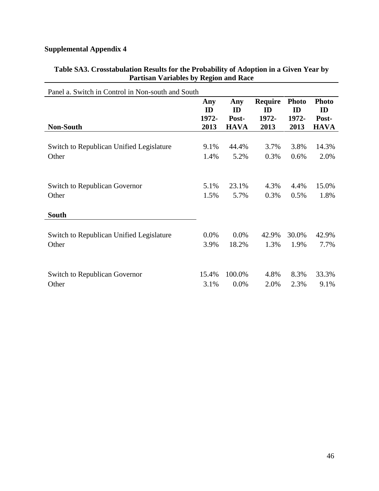## **Supplemental Appendix 4**

## **Table SA3. Crosstabulation Results for the Probability of Adoption in a Given Year by Partisan Variables by Region and Race**

| Panel a. Switch in Control in Non-south and South |                    |                    |                               |                             |                             |
|---------------------------------------------------|--------------------|--------------------|-------------------------------|-----------------------------|-----------------------------|
|                                                   | Any<br>ID<br>1972- | Any<br>ID<br>Post- | <b>Require</b><br>ID<br>1972- | <b>Photo</b><br>ID<br>1972- | <b>Photo</b><br>ID<br>Post- |
| <b>Non-South</b>                                  | 2013               | <b>HAVA</b>        | 2013                          | 2013                        | <b>HAVA</b>                 |
| Switch to Republican Unified Legislature          | 9.1%               | 44.4%              | 3.7%                          | 3.8%                        | 14.3%                       |
| Other                                             | 1.4%               | 5.2%               | 0.3%                          | 0.6%                        | 2.0%                        |
| <b>Switch to Republican Governor</b><br>Other     | 5.1%<br>1.5%       | 23.1%<br>5.7%      | 4.3%<br>0.3%                  | 4.4%<br>0.5%                | 15.0%<br>1.8%               |
| <b>South</b>                                      |                    |                    |                               |                             |                             |
| Switch to Republican Unified Legislature<br>Other | 0.0%<br>3.9%       | 0.0%<br>18.2%      | 42.9%<br>1.3%                 | 30.0%<br>1.9%               | 42.9%<br>7.7%               |
| <b>Switch to Republican Governor</b><br>Other     | 15.4%<br>3.1%      | 100.0%<br>0.0%     | 4.8%<br>2.0%                  | 8.3%<br>2.3%                | 33.3%<br>9.1%               |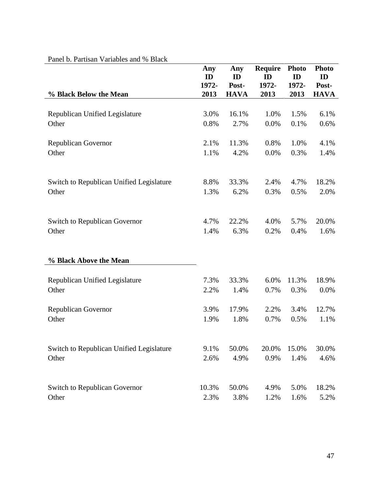| and $\sigma$ . I arrived $\tau$ arractes and $\sigma$ D ack | Any<br>ID     | Any<br>ID            | Require<br>ID | <b>Photo</b><br>ID | <b>Photo</b><br>ID   |
|-------------------------------------------------------------|---------------|----------------------|---------------|--------------------|----------------------|
| % Black Below the Mean                                      | 1972-<br>2013 | Post-<br><b>HAVA</b> | 1972-<br>2013 | 1972-<br>2013      | Post-<br><b>HAVA</b> |
|                                                             |               |                      |               |                    |                      |
| Republican Unified Legislature                              | 3.0%          | 16.1%                | 1.0%          | 1.5%               | 6.1%                 |
| Other                                                       | 0.8%          | 2.7%                 | 0.0%          | 0.1%               | 0.6%                 |
| <b>Republican Governor</b>                                  | 2.1%          | 11.3%                | 0.8%          | 1.0%               | 4.1%                 |
| Other                                                       | 1.1%          | 4.2%                 | 0.0%          | 0.3%               | 1.4%                 |
|                                                             |               |                      |               |                    |                      |
| Switch to Republican Unified Legislature                    | 8.8%          | 33.3%                | 2.4%          | 4.7%               | 18.2%                |
| Other                                                       | 1.3%          | 6.2%                 | 0.3%          | 0.5%               | 2.0%                 |
| <b>Switch to Republican Governor</b>                        | 4.7%          | 22.2%                | 4.0%          | 5.7%               | 20.0%                |
| Other                                                       | 1.4%          | 6.3%                 | 0.2%          | 0.4%               | 1.6%                 |
|                                                             |               |                      |               |                    |                      |
| % Black Above the Mean                                      |               |                      |               |                    |                      |
| Republican Unified Legislature                              | 7.3%          | 33.3%                | 6.0%          | 11.3%              | 18.9%                |
| Other                                                       | 2.2%          | 1.4%                 | 0.7%          | 0.3%               | 0.0%                 |
| <b>Republican Governor</b>                                  | 3.9%          | 17.9%                | 2.2%          | 3.4%               | 12.7%                |
| Other                                                       | 1.9%          | 1.8%                 | 0.7%          | 0.5%               | 1.1%                 |
|                                                             |               |                      |               |                    |                      |
| Switch to Republican Unified Legislature<br>Other           | 9.1%<br>2.6%  | 50.0%<br>4.9%        | 20.0%<br>0.9% | 15.0%<br>1.4%      | 30.0%                |
|                                                             |               |                      |               |                    | 4.6%                 |
| <b>Switch to Republican Governor</b>                        | 10.3%         | 50.0%                | 4.9%          | 5.0%               | 18.2%                |
| Other                                                       | 2.3%          | 3.8%                 | 1.2%          | 1.6%               | 5.2%                 |

## Panel b. Partisan Variables and % Black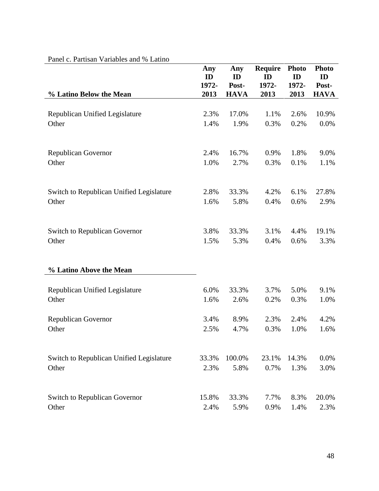| and $\mathbf{v}$ , I arrive an $\mathbf{v}$ arrive $\mathbf{v}$ and $\mathbf{v}$ Earning | Any<br>ID    | Any<br>ID     | <b>Require</b><br>ID | <b>Photo</b><br>ID | <b>Photo</b><br>ID |
|------------------------------------------------------------------------------------------|--------------|---------------|----------------------|--------------------|--------------------|
|                                                                                          | 1972-        | Post-         | 1972-                | 1972-              | Post-              |
| % Latino Below the Mean                                                                  | 2013         | <b>HAVA</b>   | 2013                 | 2013               | <b>HAVA</b>        |
|                                                                                          |              |               |                      |                    |                    |
| Republican Unified Legislature<br>Other                                                  | 2.3%<br>1.4% | 17.0%<br>1.9% | 1.1%<br>0.3%         | 2.6%<br>0.2%       | 10.9%<br>0.0%      |
|                                                                                          |              |               |                      |                    |                    |
|                                                                                          |              |               |                      |                    |                    |
| <b>Republican Governor</b>                                                               | 2.4%         | 16.7%         | 0.9%                 | 1.8%               | 9.0%               |
| Other                                                                                    | 1.0%         | 2.7%          | 0.3%                 | 0.1%               | 1.1%               |
|                                                                                          |              |               |                      |                    |                    |
| Switch to Republican Unified Legislature                                                 | 2.8%         | 33.3%         | 4.2%                 | 6.1%               | 27.8%              |
| Other                                                                                    | 1.6%         | 5.8%          | 0.4%                 | 0.6%               | 2.9%               |
|                                                                                          |              |               |                      |                    |                    |
| <b>Switch to Republican Governor</b>                                                     | 3.8%         | 33.3%         | 3.1%                 | 4.4%               | 19.1%              |
| Other                                                                                    | 1.5%         | 5.3%          | 0.4%                 | 0.6%               | 3.3%               |
| % Latino Above the Mean                                                                  |              |               |                      |                    |                    |
|                                                                                          |              |               |                      |                    |                    |
| Republican Unified Legislature                                                           | 6.0%         | 33.3%         | 3.7%                 | 5.0%               | 9.1%               |
| Other                                                                                    | 1.6%         | 2.6%          | 0.2%                 | 0.3%               | 1.0%               |
| <b>Republican Governor</b>                                                               | 3.4%         | 8.9%          | 2.3%                 | 2.4%               | 4.2%               |
| Other                                                                                    | 2.5%         | 4.7%          | 0.3%                 | 1.0%               | 1.6%               |
|                                                                                          |              |               |                      |                    |                    |
| Switch to Republican Unified Legislature                                                 | 33.3%        | 100.0%        | 23.1%                | 14.3%              | 0.0%               |
| Other                                                                                    | 2.3%         | 5.8%          | 0.7%                 | 1.3%               | 3.0%               |
|                                                                                          |              |               |                      |                    |                    |
| Switch to Republican Governor                                                            | 15.8%        | 33.3%         | 7.7%                 | 8.3%               | 20.0%              |
| Other                                                                                    | 2.4%         | 5.9%          | 0.9%                 | 1.4%               | 2.3%               |

## Panel c. Partisan Variables and % Latino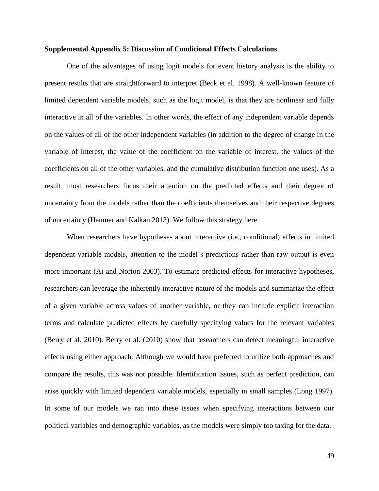#### **Supplemental Appendix 5: Discussion of Conditional Effects Calculations**

One of the advantages of using logit models for event history analysis is the ability to present results that are straightforward to interpret (Beck et al. 1998). A well-known feature of limited dependent variable models, such as the logit model, is that they are nonlinear and fully interactive in all of the variables. In other words, the effect of any independent variable depends on the values of all of the other independent variables (in addition to the degree of change in the variable of interest, the value of the coefficient on the variable of interest, the values of the coefficients on all of the other variables, and the cumulative distribution function one uses). As a result, most researchers focus their attention on the predicted effects and their degree of uncertainty from the models rather than the coefficients themselves and their respective degrees of uncertainty (Hanmer and Kalkan 2013). We follow this strategy here.

When researchers have hypotheses about interactive (i.e., conditional) effects in limited dependent variable models, attention to the model's predictions rather than raw output is even more important (Ai and Norton 2003). To estimate predicted effects for interactive hypotheses, researchers can leverage the inherently interactive nature of the models and summarize the effect of a given variable across values of another variable, or they can include explicit interaction terms and calculate predicted effects by carefully specifying values for the relevant variables (Berry et al. 2010). Berry et al. (2010) show that researchers can detect meaningful interactive effects using either approach. Although we would have preferred to utilize both approaches and compare the results, this was not possible. Identification issues, such as perfect prediction, can arise quickly with limited dependent variable models, especially in small samples (Long 1997). In some of our models we ran into these issues when specifying interactions between our political variables and demographic variables, as the models were simply too taxing for the data.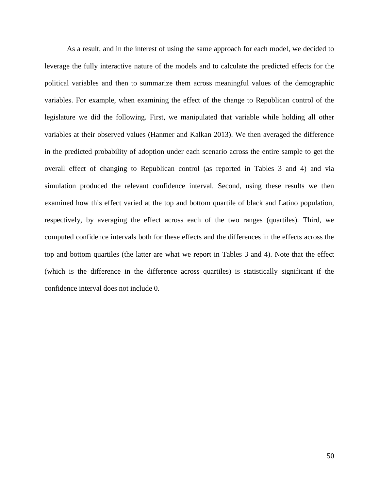As a result, and in the interest of using the same approach for each model, we decided to leverage the fully interactive nature of the models and to calculate the predicted effects for the political variables and then to summarize them across meaningful values of the demographic variables. For example, when examining the effect of the change to Republican control of the legislature we did the following. First, we manipulated that variable while holding all other variables at their observed values (Hanmer and Kalkan 2013). We then averaged the difference in the predicted probability of adoption under each scenario across the entire sample to get the overall effect of changing to Republican control (as reported in Tables 3 and 4) and via simulation produced the relevant confidence interval. Second, using these results we then examined how this effect varied at the top and bottom quartile of black and Latino population, respectively, by averaging the effect across each of the two ranges (quartiles). Third, we computed confidence intervals both for these effects and the differences in the effects across the top and bottom quartiles (the latter are what we report in Tables 3 and 4). Note that the effect (which is the difference in the difference across quartiles) is statistically significant if the confidence interval does not include 0.